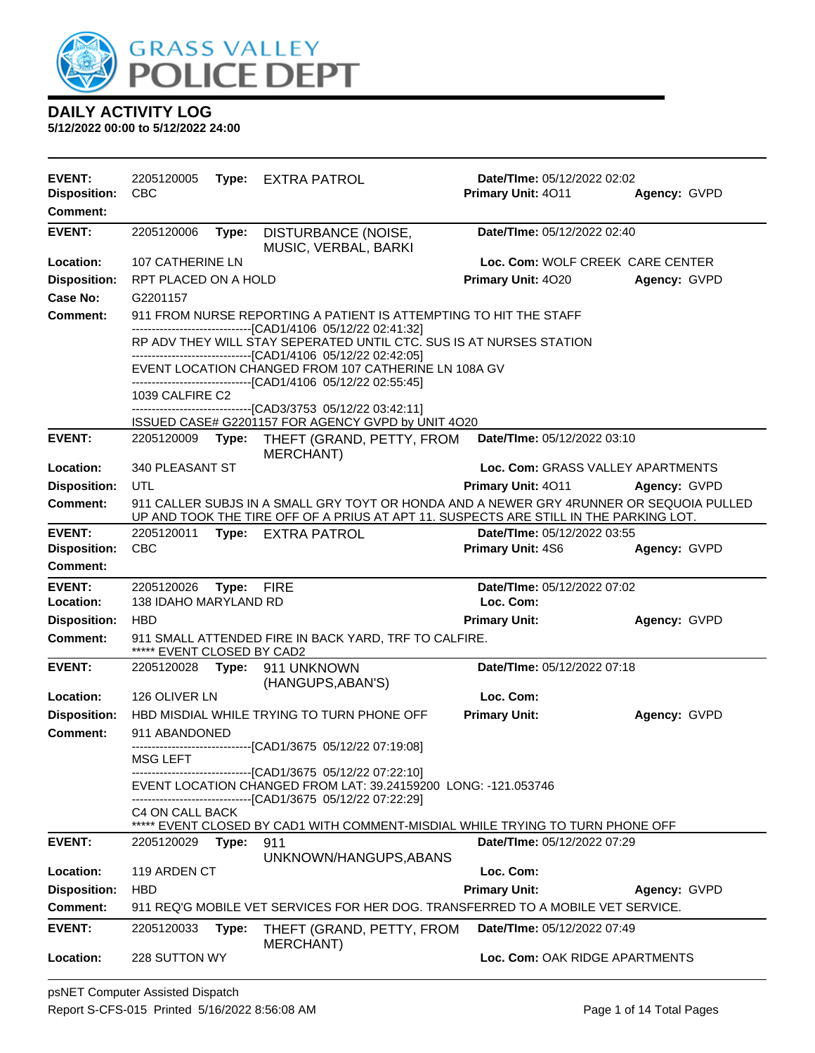

| <b>EVENT:</b>                          | 2205120005                                                                                                           | Type: | EXTRA PATROL                                                                                                                      | Date/TIme: 05/12/2022 02:02              |              |
|----------------------------------------|----------------------------------------------------------------------------------------------------------------------|-------|-----------------------------------------------------------------------------------------------------------------------------------|------------------------------------------|--------------|
| <b>Disposition:</b><br><b>Comment:</b> | <b>CBC</b>                                                                                                           |       |                                                                                                                                   | Primary Unit: 4011                       | Agency: GVPD |
|                                        |                                                                                                                      |       |                                                                                                                                   |                                          |              |
| <b>EVENT:</b>                          | 2205120006                                                                                                           | Type: | DISTURBANCE (NOISE,<br>MUSIC, VERBAL, BARKI                                                                                       | Date/TIme: 05/12/2022 02:40              |              |
| Location:                              | 107 CATHERINE LN                                                                                                     |       |                                                                                                                                   | Loc. Com: WOLF CREEK CARE CENTER         |              |
| <b>Disposition:</b>                    | RPT PLACED ON A HOLD                                                                                                 |       |                                                                                                                                   | Primary Unit: 4020                       | Agency: GVPD |
| Case No:                               | G2201157                                                                                                             |       |                                                                                                                                   |                                          |              |
| Comment:                               |                                                                                                                      |       | 911 FROM NURSE REPORTING A PATIENT IS ATTEMPTING TO HIT THE STAFF<br>-------------------------------[CAD1/4106 05/12/22 02:41:32] |                                          |              |
|                                        |                                                                                                                      |       | RP ADV THEY WILL STAY SEPERATED UNTIL CTC. SUS IS AT NURSES STATION                                                               |                                          |              |
|                                        |                                                                                                                      |       | -------------------------------[CAD1/4106 05/12/22 02:42:05]                                                                      |                                          |              |
|                                        | EVENT LOCATION CHANGED FROM 107 CATHERINE LN 108A GV<br>-------------------------------[CAD1/4106 05/12/22 02:55:45] |       |                                                                                                                                   |                                          |              |
|                                        | 1039 CALFIRE C2                                                                                                      |       |                                                                                                                                   |                                          |              |
|                                        |                                                                                                                      |       | -------------------------------[CAD3/3753_05/12/22_03:42:11]                                                                      |                                          |              |
| <b>EVENT:</b>                          | 2205120009                                                                                                           | Type: | ISSUED CASE# G2201157 FOR AGENCY GVPD by UNIT 4O20<br>THEFT (GRAND, PETTY, FROM                                                   | Date/TIme: 05/12/2022 03:10              |              |
|                                        |                                                                                                                      |       | <b>MERCHANT)</b>                                                                                                                  |                                          |              |
| <b>Location:</b>                       | 340 PLEASANT ST                                                                                                      |       |                                                                                                                                   | Loc. Com: GRASS VALLEY APARTMENTS        |              |
| <b>Disposition:</b>                    | UTL                                                                                                                  |       |                                                                                                                                   | Primary Unit: 4011                       | Agency: GVPD |
| <b>Comment:</b>                        |                                                                                                                      |       | 911 CALLER SUBJS IN A SMALL GRY TOYT OR HONDA AND A NEWER GRY 4RUNNER OR SEQUOIA PULLED                                           |                                          |              |
|                                        |                                                                                                                      |       | UP AND TOOK THE TIRE OFF OF A PRIUS AT APT 11. SUSPECTS ARE STILL IN THE PARKING LOT.                                             |                                          |              |
| <b>EVENT:</b>                          | 2205120011<br><b>CBC</b>                                                                                             |       | Type: EXTRA PATROL                                                                                                                | Date/TIme: 05/12/2022 03:55              | Agency: GVPD |
| <b>Disposition:</b><br>Comment:        |                                                                                                                      |       |                                                                                                                                   | Primary Unit: 4S6                        |              |
|                                        |                                                                                                                      |       |                                                                                                                                   |                                          |              |
| <b>EVENT:</b><br>Location:             | 2205120026<br>138 IDAHO MARYLAND RD                                                                                  | Type: | <b>FIRE</b>                                                                                                                       | Date/TIme: 05/12/2022 07:02<br>Loc. Com: |              |
| <b>Disposition:</b>                    | <b>HBD</b>                                                                                                           |       |                                                                                                                                   | <b>Primary Unit:</b>                     | Agency: GVPD |
| <b>Comment:</b>                        |                                                                                                                      |       | 911 SMALL ATTENDED FIRE IN BACK YARD, TRF TO CALFIRE.                                                                             |                                          |              |
|                                        | ***** EVENT CLOSED BY CAD2                                                                                           |       |                                                                                                                                   |                                          |              |
| <b>EVENT:</b>                          | 2205120028                                                                                                           | Type: | 911 UNKNOWN<br>(HANGUPS, ABAN'S)                                                                                                  | Date/TIme: 05/12/2022 07:18              |              |
| Location:                              | 126 OLIVER LN                                                                                                        |       |                                                                                                                                   | Loc. Com:                                |              |
| <b>Disposition:</b>                    |                                                                                                                      |       | HBD MISDIAL WHILE TRYING TO TURN PHONE OFF                                                                                        | <b>Primary Unit:</b>                     | Agency: GVPD |
| Comment:                               | 911 ABANDONED                                                                                                        |       |                                                                                                                                   |                                          |              |
|                                        | MSG LEFT                                                                                                             |       | -------------------------------[CAD1/3675_05/12/22_07:19:08]                                                                      |                                          |              |
|                                        |                                                                                                                      |       | -------------------------------[CAD1/3675 05/12/22 07:22:10]                                                                      |                                          |              |
|                                        |                                                                                                                      |       | EVENT LOCATION CHANGED FROM LAT: 39.24159200 LONG: -121.053746                                                                    |                                          |              |
|                                        | C4 ON CALL BACK                                                                                                      |       | -------------------------------[CAD1/3675_05/12/22_07:22:29]                                                                      |                                          |              |
|                                        |                                                                                                                      |       | ***** EVENT CLOSED BY CAD1 WITH COMMENT-MISDIAL WHILE TRYING TO TURN PHONE OFF                                                    |                                          |              |
| <b>EVENT:</b>                          | 2205120029                                                                                                           | Type: | 911                                                                                                                               | Date/TIme: 05/12/2022 07:29              |              |
|                                        |                                                                                                                      |       | UNKNOWN/HANGUPS, ABANS                                                                                                            |                                          |              |
| Location:                              | 119 ARDEN CT                                                                                                         |       |                                                                                                                                   | Loc. Com:                                |              |
| <b>Disposition:</b>                    | <b>HBD</b>                                                                                                           |       |                                                                                                                                   | <b>Primary Unit:</b>                     | Agency: GVPD |
| <b>Comment:</b>                        |                                                                                                                      |       | 911 REQ'G MOBILE VET SERVICES FOR HER DOG. TRANSFERRED TO A MOBILE VET SERVICE.                                                   |                                          |              |
| <b>EVENT:</b>                          | 2205120033                                                                                                           | Type: | THEFT (GRAND, PETTY, FROM                                                                                                         | Date/TIme: 05/12/2022 07:49              |              |
| Location:                              | 228 SUTTON WY                                                                                                        |       | <b>MERCHANT)</b>                                                                                                                  | Loc. Com: OAK RIDGE APARTMENTS           |              |
|                                        |                                                                                                                      |       |                                                                                                                                   |                                          |              |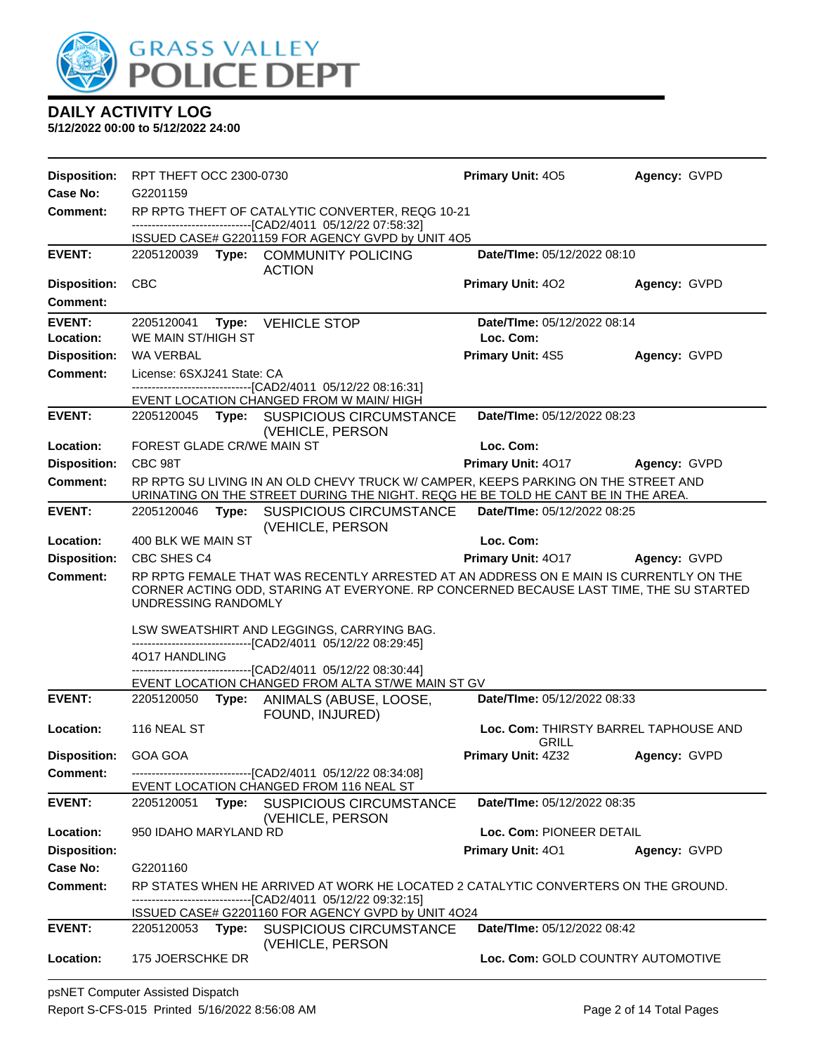

| <b>Disposition:</b>         | RPT THEFT OCC 2300-0730    |       |                                                                                                                                                                                 | <b>Primary Unit: 405</b>        | Agency: GVPD                          |
|-----------------------------|----------------------------|-------|---------------------------------------------------------------------------------------------------------------------------------------------------------------------------------|---------------------------------|---------------------------------------|
| Case No:                    | G2201159                   |       |                                                                                                                                                                                 |                                 |                                       |
| <b>Comment:</b>             |                            |       | RP RPTG THEFT OF CATALYTIC CONVERTER, REQG 10-21<br>-------------------------------[CAD2/4011 05/12/22 07:58:32]                                                                |                                 |                                       |
|                             |                            |       | ISSUED CASE# G2201159 FOR AGENCY GVPD by UNIT 4O5                                                                                                                               |                                 |                                       |
| <b>EVENT:</b>               |                            |       | 2205120039 Type: COMMUNITY POLICING<br><b>ACTION</b>                                                                                                                            | Date/TIme: 05/12/2022 08:10     |                                       |
| <b>Disposition:</b>         | <b>CBC</b>                 |       |                                                                                                                                                                                 | <b>Primary Unit: 402</b>        | Agency: GVPD                          |
| Comment:                    |                            |       |                                                                                                                                                                                 |                                 |                                       |
| <b>EVENT:</b>               | 2205120041                 | Type: | <b>VEHICLE STOP</b>                                                                                                                                                             | Date/TIme: 05/12/2022 08:14     |                                       |
| Location:                   | WE MAIN ST/HIGH ST         |       |                                                                                                                                                                                 | Loc. Com:                       |                                       |
| <b>Disposition:</b>         | WA VERBAL                  |       |                                                                                                                                                                                 | <b>Primary Unit: 4S5</b>        | Agency: GVPD                          |
| <b>Comment:</b>             | License: 6SXJ241 State: CA |       |                                                                                                                                                                                 |                                 |                                       |
|                             |                            |       | -----------------------------[CAD2/4011_05/12/22 08:16:31]                                                                                                                      |                                 |                                       |
| <b>EVENT:</b>               |                            |       | EVENT LOCATION CHANGED FROM W MAIN/HIGH<br>2205120045 Type: SUSPICIOUS CIRCUMSTANCE                                                                                             | Date/TIme: 05/12/2022 08:23     |                                       |
|                             |                            |       | (VEHICLE, PERSON                                                                                                                                                                |                                 |                                       |
| Location:                   | FOREST GLADE CR/WE MAIN ST |       |                                                                                                                                                                                 | Loc. Com:                       |                                       |
| <b>Disposition:</b>         | CBC 98T                    |       |                                                                                                                                                                                 | Primary Unit: 4017 Agency: GVPD |                                       |
| <b>Comment:</b>             |                            |       | RP RPTG SU LIVING IN AN OLD CHEVY TRUCK W/ CAMPER, KEEPS PARKING ON THE STREET AND<br>URINATING ON THE STREET DURING THE NIGHT. REQG HE BE TOLD HE CANT BE IN THE AREA.         |                                 |                                       |
| <b>EVENT:</b>               | 2205120046                 |       | Type: SUSPICIOUS CIRCUMSTANCE<br>(VEHICLE, PERSON                                                                                                                               | Date/TIme: 05/12/2022 08:25     |                                       |
| Location:                   | 400 BLK WE MAIN ST         |       |                                                                                                                                                                                 | Loc. Com:                       |                                       |
| <b>Disposition:</b>         | CBC SHES C4                |       |                                                                                                                                                                                 | <b>Primary Unit: 4017</b>       | <b>Agency: GVPD</b>                   |
| <b>Comment:</b>             | UNDRESSING RANDOMLY        |       | RP RPTG FEMALE THAT WAS RECENTLY ARRESTED AT AN ADDRESS ON E MAIN IS CURRENTLY ON THE<br>CORNER ACTING ODD, STARING AT EVERYONE. RP CONCERNED BECAUSE LAST TIME, THE SU STARTED |                                 |                                       |
|                             |                            |       | LSW SWEATSHIRT AND LEGGINGS, CARRYING BAG.<br>-------------------------------[CAD2/4011 05/12/22 08:29:45]                                                                      |                                 |                                       |
|                             | 4017 HANDLING              |       | -------------------------[CAD2/4011_05/12/22_08:30:44]                                                                                                                          |                                 |                                       |
|                             |                            |       | EVENT LOCATION CHANGED FROM ALTA ST/WE MAIN ST GV                                                                                                                               |                                 |                                       |
| <b>EVENT:</b>               |                            |       | 2205120050 Type: ANIMALS (ABUSE, LOOSE,<br>FOUND, INJURED)                                                                                                                      | Date/TIme: 05/12/2022 08:33     |                                       |
| Location:                   | 116 NEAL ST                |       |                                                                                                                                                                                 | <b>GRILL</b>                    | Loc. Com: THIRSTY BARREL TAPHOUSE AND |
| <b>Disposition: GOA GOA</b> |                            |       |                                                                                                                                                                                 | <b>Primary Unit: 4Z32</b>       | Agency: GVPD                          |
| Comment:                    |                            |       | --------------------------------[CAD2/4011 05/12/22 08:34:08]                                                                                                                   |                                 |                                       |
|                             |                            |       | EVENT LOCATION CHANGED FROM 116 NEAL ST                                                                                                                                         |                                 |                                       |
| <b>EVENT:</b>               | 2205120051                 |       | Type: SUSPICIOUS CIRCUMSTANCE<br>(VEHICLE, PERSON                                                                                                                               | Date/TIme: 05/12/2022 08:35     |                                       |
| Location:                   | 950 IDAHO MARYLAND RD      |       |                                                                                                                                                                                 | Loc. Com: PIONEER DETAIL        |                                       |
| <b>Disposition:</b>         |                            |       |                                                                                                                                                                                 | Primary Unit: 401               | Agency: GVPD                          |
| Case No:                    | G2201160                   |       |                                                                                                                                                                                 |                                 |                                       |
| <b>Comment:</b>             |                            |       | RP STATES WHEN HE ARRIVED AT WORK HE LOCATED 2 CATALYTIC CONVERTERS ON THE GROUND.<br>------------------------[CAD2/4011_05/12/22 09:32:15]                                     |                                 |                                       |
| <b>EVENT:</b>               |                            |       | ISSUED CASE# G2201160 FOR AGENCY GVPD by UNIT 4O24<br>2205120053 Type: SUSPICIOUS CIRCUMSTANCE                                                                                  | Date/TIme: 05/12/2022 08:42     |                                       |
|                             |                            |       | (VEHICLE, PERSON                                                                                                                                                                |                                 |                                       |
|                             |                            |       |                                                                                                                                                                                 |                                 |                                       |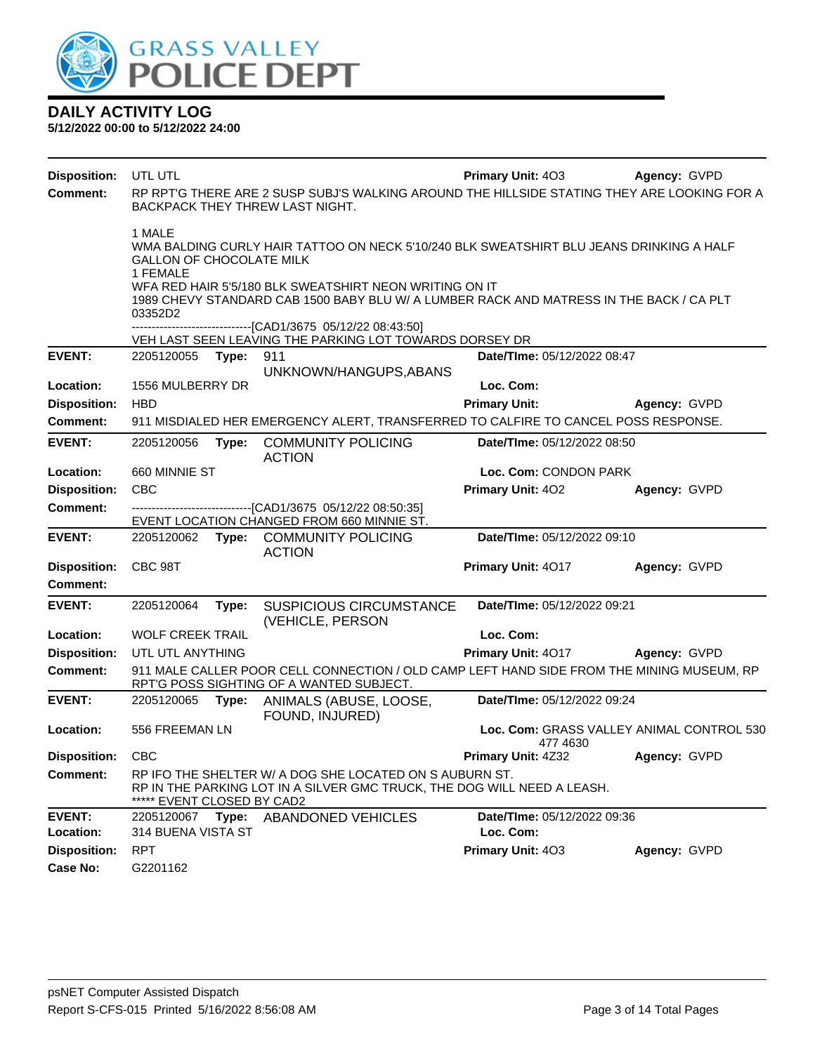

| <b>Disposition:</b> | UTL UTL                                                                                                                                                                                                                                                                                        |       |                                                                                                                                       | <b>Primary Unit: 403</b>                              | Agency: GVPD |  |  |  |
|---------------------|------------------------------------------------------------------------------------------------------------------------------------------------------------------------------------------------------------------------------------------------------------------------------------------------|-------|---------------------------------------------------------------------------------------------------------------------------------------|-------------------------------------------------------|--------------|--|--|--|
| Comment:            |                                                                                                                                                                                                                                                                                                |       | RP RPT'G THERE ARE 2 SUSP SUBJ'S WALKING AROUND THE HILLSIDE STATING THEY ARE LOOKING FOR A<br>BACKPACK THEY THREW LAST NIGHT.        |                                                       |              |  |  |  |
|                     | 1 MALE<br>WMA BALDING CURLY HAIR TATTOO ON NECK 5'10/240 BLK SWEATSHIRT BLU JEANS DRINKING A HALF<br>GALLON OF CHOCOLATE MILK<br>1 FEMALE<br>WFA RED HAIR 5'5/180 BLK SWEATSHIRT NEON WRITING ON IT<br>1989 CHEVY STANDARD CAB 1500 BABY BLU W/ A LUMBER RACK AND MATRESS IN THE BACK / CA PLT |       |                                                                                                                                       |                                                       |              |  |  |  |
|                     | 03352D2<br>------------------------[CAD1/3675 05/12/22 08:43:50]                                                                                                                                                                                                                               |       |                                                                                                                                       |                                                       |              |  |  |  |
|                     |                                                                                                                                                                                                                                                                                                |       | VEH LAST SEEN LEAVING THE PARKING LOT TOWARDS DORSEY DR                                                                               |                                                       |              |  |  |  |
| <b>EVENT:</b>       | 2205120055                                                                                                                                                                                                                                                                                     | Type: | 911<br>UNKNOWN/HANGUPS, ABANS                                                                                                         | Date/TIme: 05/12/2022 08:47                           |              |  |  |  |
| Location:           | 1556 MULBERRY DR                                                                                                                                                                                                                                                                               |       |                                                                                                                                       | Loc. Com:                                             |              |  |  |  |
| <b>Disposition:</b> | <b>HBD</b>                                                                                                                                                                                                                                                                                     |       |                                                                                                                                       | <b>Primary Unit:</b>                                  | Agency: GVPD |  |  |  |
| <b>Comment:</b>     |                                                                                                                                                                                                                                                                                                |       | 911 MISDIALED HER EMERGENCY ALERT, TRANSFERRED TO CALFIRE TO CANCEL POSS RESPONSE.                                                    |                                                       |              |  |  |  |
| <b>EVENT:</b>       | 2205120056                                                                                                                                                                                                                                                                                     | Type: | <b>COMMUNITY POLICING</b><br><b>ACTION</b>                                                                                            | Date/TIme: 05/12/2022 08:50                           |              |  |  |  |
| Location:           | 660 MINNIE ST                                                                                                                                                                                                                                                                                  |       |                                                                                                                                       | Loc. Com: CONDON PARK                                 |              |  |  |  |
| <b>Disposition:</b> | <b>CBC</b>                                                                                                                                                                                                                                                                                     |       |                                                                                                                                       | Primary Unit: 402                                     | Agency: GVPD |  |  |  |
| Comment:            |                                                                                                                                                                                                                                                                                                |       | --------------------------------[CAD1/3675 05/12/22 08:50:35]                                                                         |                                                       |              |  |  |  |
|                     |                                                                                                                                                                                                                                                                                                |       | EVENT LOCATION CHANGED FROM 660 MINNIE ST.                                                                                            |                                                       |              |  |  |  |
| <b>EVENT:</b>       |                                                                                                                                                                                                                                                                                                |       | 2205120062 Type: COMMUNITY POLICING<br><b>ACTION</b>                                                                                  | Date/TIme: 05/12/2022 09:10                           |              |  |  |  |
| <b>Disposition:</b> | CBC 98T                                                                                                                                                                                                                                                                                        |       |                                                                                                                                       | Primary Unit: 4017                                    | Agency: GVPD |  |  |  |
| <b>Comment:</b>     |                                                                                                                                                                                                                                                                                                |       |                                                                                                                                       |                                                       |              |  |  |  |
| <b>EVENT:</b>       | 2205120064                                                                                                                                                                                                                                                                                     | Type: | <b>SUSPICIOUS CIRCUMSTANCE</b><br>(VEHICLE, PERSON                                                                                    | Date/TIme: 05/12/2022 09:21                           |              |  |  |  |
| Location:           | <b>WOLF CREEK TRAIL</b>                                                                                                                                                                                                                                                                        |       |                                                                                                                                       | Loc. Com:                                             |              |  |  |  |
| <b>Disposition:</b> | UTL UTL ANYTHING                                                                                                                                                                                                                                                                               |       |                                                                                                                                       | Primary Unit: 4017                                    | Agency: GVPD |  |  |  |
| <b>Comment:</b>     |                                                                                                                                                                                                                                                                                                |       | 911 MALE CALLER POOR CELL CONNECTION / OLD CAMP LEFT HAND SIDE FROM THE MINING MUSEUM, RP<br>RPT'G POSS SIGHTING OF A WANTED SUBJECT. |                                                       |              |  |  |  |
| <b>EVENT:</b>       | 2205120065 Type:                                                                                                                                                                                                                                                                               |       | ANIMALS (ABUSE, LOOSE,<br>FOUND, INJURED)                                                                                             | Date/TIme: 05/12/2022 09:24                           |              |  |  |  |
| Location:           | 556 FREEMAN LN                                                                                                                                                                                                                                                                                 |       |                                                                                                                                       | Loc. Com: GRASS VALLEY ANIMAL CONTROL 530<br>477 4630 |              |  |  |  |
| Disposition:        | <b>CBC</b>                                                                                                                                                                                                                                                                                     |       |                                                                                                                                       | Primary Unit: 4Z32                                    | Agency: GVPD |  |  |  |
| <b>Comment:</b>     | ***** EVENT CLOSED BY CAD2                                                                                                                                                                                                                                                                     |       | RP IFO THE SHELTER W/ A DOG SHE LOCATED ON S AUBURN ST.<br>RP IN THE PARKING LOT IN A SILVER GMC TRUCK, THE DOG WILL NEED A LEASH.    |                                                       |              |  |  |  |
| <b>EVENT:</b>       | 2205120067                                                                                                                                                                                                                                                                                     |       | Type: ABANDONED VEHICLES                                                                                                              | Date/TIme: 05/12/2022 09:36                           |              |  |  |  |
| Location:           | 314 BUENA VISTA ST                                                                                                                                                                                                                                                                             |       |                                                                                                                                       | Loc. Com:                                             |              |  |  |  |
| <b>Disposition:</b> | <b>RPT</b>                                                                                                                                                                                                                                                                                     |       |                                                                                                                                       | Primary Unit: 403                                     | Agency: GVPD |  |  |  |
| <b>Case No:</b>     | G2201162                                                                                                                                                                                                                                                                                       |       |                                                                                                                                       |                                                       |              |  |  |  |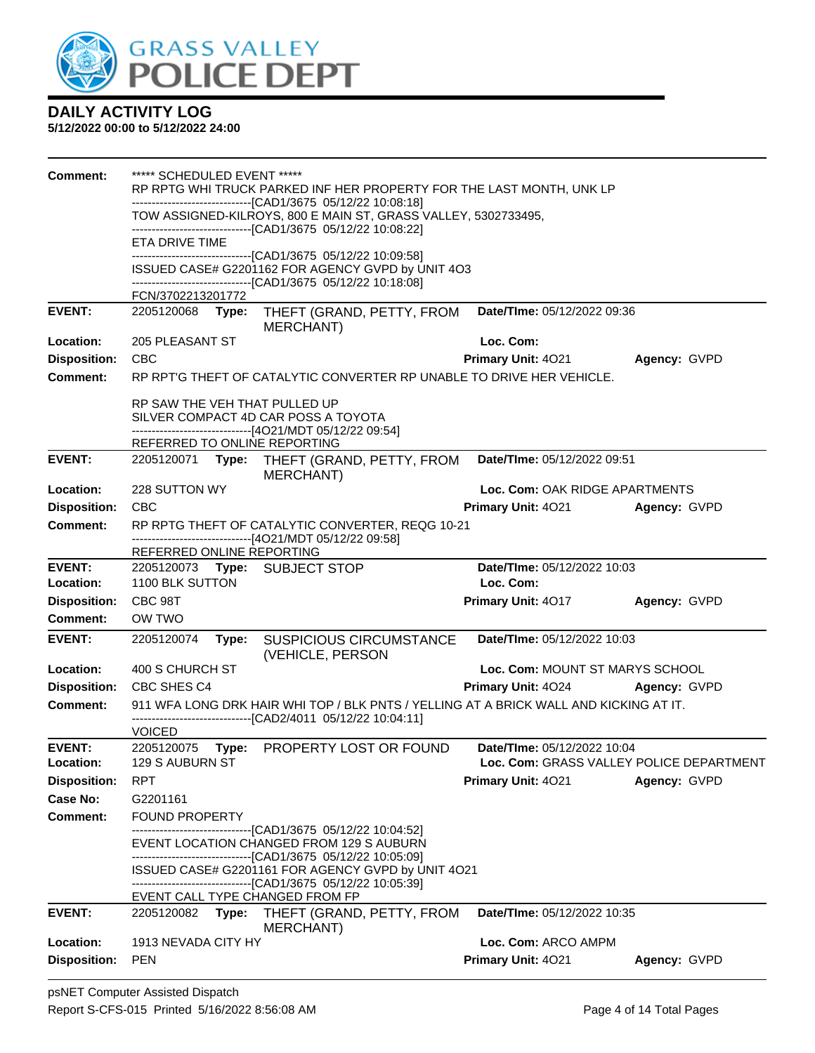

| Comment:            | ***** SCHEDULED EVENT *****                                                    |       |                                                                                                                                       |                                          |              |  |  |
|---------------------|--------------------------------------------------------------------------------|-------|---------------------------------------------------------------------------------------------------------------------------------------|------------------------------------------|--------------|--|--|
|                     |                                                                                |       | RP RPTG WHI TRUCK PARKED INF HER PROPERTY FOR THE LAST MONTH, UNK LP<br>--------------------------------[CAD1/3675 05/12/22 10:08:18] |                                          |              |  |  |
|                     |                                                                                |       | TOW ASSIGNED-KILROYS, 800 E MAIN ST, GRASS VALLEY, 5302733495,                                                                        |                                          |              |  |  |
|                     | -------------------------------[CAD1/3675 05/12/22 10:08:22]<br>ETA DRIVE TIME |       |                                                                                                                                       |                                          |              |  |  |
|                     | -------------------------------[CAD1/3675 05/12/22 10:09:58]                   |       |                                                                                                                                       |                                          |              |  |  |
|                     | ISSUED CASE# G2201162 FOR AGENCY GVPD by UNIT 4O3                              |       |                                                                                                                                       |                                          |              |  |  |
|                     | FCN/3702213201772                                                              |       | -------------------------------[CAD1/3675 05/12/22 10:18:08]                                                                          |                                          |              |  |  |
| <b>EVENT:</b>       | 2205120068 Type:                                                               |       | THEFT (GRAND, PETTY, FROM                                                                                                             | <b>Date/Time: 05/12/2022 09:36</b>       |              |  |  |
|                     |                                                                                |       | <b>MERCHANT)</b>                                                                                                                      |                                          |              |  |  |
| Location:           | 205 PLEASANT ST                                                                |       |                                                                                                                                       | Loc. Com:                                |              |  |  |
| <b>Disposition:</b> | <b>CBC</b>                                                                     |       |                                                                                                                                       | <b>Primary Unit: 4021</b>                | Agency: GVPD |  |  |
| <b>Comment:</b>     |                                                                                |       | RP RPT'G THEFT OF CATALYTIC CONVERTER RP UNABLE TO DRIVE HER VEHICLE.                                                                 |                                          |              |  |  |
|                     | RP SAW THE VEH THAT PULLED UP                                                  |       |                                                                                                                                       |                                          |              |  |  |
|                     |                                                                                |       | SILVER COMPACT 4D CAR POSS A TOYOTA                                                                                                   |                                          |              |  |  |
|                     | REFERRED TO ONLINE REPORTING                                                   |       | -------------------------------[4O21/MDT 05/12/22 09:54]                                                                              |                                          |              |  |  |
| <b>EVENT:</b>       |                                                                                |       | 2205120071 Type: THEFT (GRAND, PETTY, FROM                                                                                            | Date/TIme: 05/12/2022 09:51              |              |  |  |
|                     |                                                                                |       | <b>MERCHANT)</b>                                                                                                                      |                                          |              |  |  |
| Location:           | 228 SUTTON WY                                                                  |       |                                                                                                                                       | Loc. Com: OAK RIDGE APARTMENTS           |              |  |  |
| <b>Disposition:</b> | <b>CBC</b>                                                                     |       |                                                                                                                                       | <b>Primary Unit: 4021</b>                | Agency: GVPD |  |  |
| <b>Comment:</b>     |                                                                                |       | RP RPTG THEFT OF CATALYTIC CONVERTER, REQG 10-21                                                                                      |                                          |              |  |  |
|                     | REFERRED ONLINE REPORTING                                                      |       | -------------------------------[4O21/MDT 05/12/22 09:58]                                                                              |                                          |              |  |  |
| <b>EVENT:</b>       |                                                                                |       | 2205120073 Type: SUBJECT STOP                                                                                                         | Date/TIme: 05/12/2022 10:03              |              |  |  |
| Location:           | 1100 BLK SUTTON                                                                |       |                                                                                                                                       | Loc. Com:                                |              |  |  |
| <b>Disposition:</b> | CBC 98T                                                                        |       |                                                                                                                                       | Primary Unit: 4017                       | Agency: GVPD |  |  |
| <b>Comment:</b>     | OW TWO                                                                         |       |                                                                                                                                       |                                          |              |  |  |
| <b>EVENT:</b>       | 2205120074                                                                     | Type: | <b>SUSPICIOUS CIRCUMSTANCE</b><br>(VEHICLE, PERSON                                                                                    | Date/TIme: 05/12/2022 10:03              |              |  |  |
| Location:           | 400 S CHURCH ST                                                                |       |                                                                                                                                       | Loc. Com: MOUNT ST MARYS SCHOOL          |              |  |  |
| <b>Disposition:</b> | CBC SHES C4                                                                    |       |                                                                                                                                       | Primary Unit: 4024                       | Agency: GVPD |  |  |
| <b>Comment:</b>     |                                                                                |       | 911 WFA LONG DRK HAIR WHI TOP / BLK PNTS / YELLING AT A BRICK WALL AND KICKING AT IT.                                                 |                                          |              |  |  |
|                     | <b>VOICED</b>                                                                  |       | -------------------------------[CAD2/4011 05/12/22 10:04:11]                                                                          |                                          |              |  |  |
| <b>EVENT:</b>       |                                                                                |       | 2205120075 Type: PROPERTY LOST OR FOUND                                                                                               | Date/TIme: 05/12/2022 10:04              |              |  |  |
| Location:           | 129 S AUBURN ST                                                                |       |                                                                                                                                       | Loc. Com: GRASS VALLEY POLICE DEPARTMENT |              |  |  |
| <b>Disposition:</b> | <b>RPT</b>                                                                     |       |                                                                                                                                       | Primary Unit: 4021                       | Agency: GVPD |  |  |
| <b>Case No:</b>     | G2201161                                                                       |       |                                                                                                                                       |                                          |              |  |  |
| Comment:            | <b>FOUND PROPERTY</b>                                                          |       | ---------------------------[CAD1/3675_05/12/22 10:04:52]                                                                              |                                          |              |  |  |
|                     |                                                                                |       | EVENT LOCATION CHANGED FROM 129 S AUBURN<br>-------------------------------[CAD1/3675 05/12/22 10:05:09]                              |                                          |              |  |  |
|                     |                                                                                |       | ISSUED CASE# G2201161 FOR AGENCY GVPD by UNIT 4O21                                                                                    |                                          |              |  |  |
|                     |                                                                                |       | -------------------------[CAD1/3675 05/12/22 10:05:39]                                                                                |                                          |              |  |  |
| <b>EVENT:</b>       |                                                                                |       | EVENT CALL TYPE CHANGED FROM FP                                                                                                       | Date/TIme: 05/12/2022 10:35              |              |  |  |
|                     | 2205120082                                                                     | Type: | THEFT (GRAND, PETTY, FROM<br><b>MERCHANT)</b>                                                                                         |                                          |              |  |  |
| Location:           | 1913 NEVADA CITY HY                                                            |       |                                                                                                                                       | Loc. Com: ARCO AMPM                      |              |  |  |
| <b>Disposition:</b> | <b>PEN</b>                                                                     |       |                                                                                                                                       | Primary Unit: 4021                       | Agency: GVPD |  |  |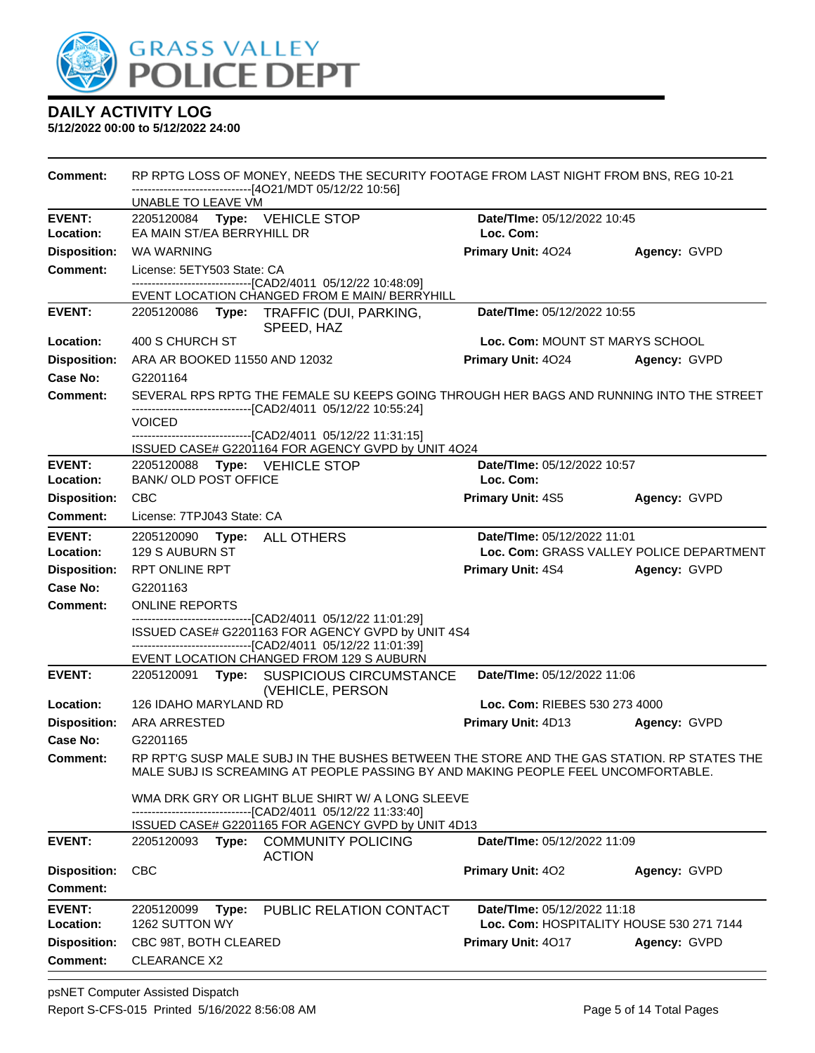

| Comment:            | RP RPTG LOSS OF MONEY, NEEDS THE SECURITY FOOTAGE FROM LAST NIGHT FROM BNS, REG 10-21<br>-------------------------------[4O21/MDT 05/12/22 10:56]<br>UNABLE TO LEAVE VM                                                                  |                                          |                                          |  |  |  |
|---------------------|------------------------------------------------------------------------------------------------------------------------------------------------------------------------------------------------------------------------------------------|------------------------------------------|------------------------------------------|--|--|--|
| <b>EVENT:</b>       | 2205120084 Type: VEHICLE STOP                                                                                                                                                                                                            | Date/TIme: 05/12/2022 10:45              |                                          |  |  |  |
| Location:           | EA MAIN ST/EA BERRYHILL DR                                                                                                                                                                                                               | Loc. Com:                                |                                          |  |  |  |
| <b>Disposition:</b> | WA WARNING                                                                                                                                                                                                                               | Primary Unit: 4024                       | Agency: GVPD                             |  |  |  |
| <b>Comment:</b>     | License: 5ETY503 State: CA                                                                                                                                                                                                               |                                          |                                          |  |  |  |
|                     | --------------------------------[CAD2/4011 05/12/22 10:48:09]                                                                                                                                                                            |                                          |                                          |  |  |  |
| <b>EVENT:</b>       | EVENT LOCATION CHANGED FROM E MAIN/ BERRYHILL<br>2205120086 Type: TRAFFIC (DUI, PARKING,                                                                                                                                                 | Date/TIme: 05/12/2022 10:55              |                                          |  |  |  |
|                     | SPEED, HAZ                                                                                                                                                                                                                               |                                          |                                          |  |  |  |
| Location:           | 400 S CHURCH ST                                                                                                                                                                                                                          | Loc. Com: MOUNT ST MARYS SCHOOL          |                                          |  |  |  |
| <b>Disposition:</b> | ARA AR BOOKED 11550 AND 12032                                                                                                                                                                                                            | <b>Primary Unit: 4024</b>                | Agency: GVPD                             |  |  |  |
| Case No:            | G2201164                                                                                                                                                                                                                                 |                                          |                                          |  |  |  |
| <b>Comment:</b>     | SEVERAL RPS RPTG THE FEMALE SU KEEPS GOING THROUGH HER BAGS AND RUNNING INTO THE STREET<br>-------------------------------[CAD2/4011 05/12/22 10:55:24]<br><b>VOICED</b><br>-------------------------------[CAD2/4011 05/12/22 11:31:15] |                                          |                                          |  |  |  |
| <b>EVENT:</b>       | ISSUED CASE# G2201164 FOR AGENCY GVPD by UNIT 4O24<br>2205120088 Type: VEHICLE STOP                                                                                                                                                      | Date/TIme: 05/12/2022 10:57              |                                          |  |  |  |
| Location:           | <b>BANK/ OLD POST OFFICE</b>                                                                                                                                                                                                             | Loc. Com:                                |                                          |  |  |  |
| <b>Disposition:</b> | CBC                                                                                                                                                                                                                                      | <b>Primary Unit: 4S5</b>                 | Agency: GVPD                             |  |  |  |
| <b>Comment:</b>     | License: 7TPJ043 State: CA                                                                                                                                                                                                               |                                          |                                          |  |  |  |
| <b>EVENT:</b>       | 2205120090 Type: ALL OTHERS                                                                                                                                                                                                              | Date/TIme: 05/12/2022 11:01              |                                          |  |  |  |
| Location:           | 129 S AUBURN ST                                                                                                                                                                                                                          |                                          | Loc. Com: GRASS VALLEY POLICE DEPARTMENT |  |  |  |
| <b>Disposition:</b> | <b>RPT ONLINE RPT</b>                                                                                                                                                                                                                    | <b>Primary Unit: 4S4</b>                 | Agency: GVPD                             |  |  |  |
| Case No:            | G2201163                                                                                                                                                                                                                                 |                                          |                                          |  |  |  |
| Comment:            | <b>ONLINE REPORTS</b>                                                                                                                                                                                                                    |                                          |                                          |  |  |  |
|                     | --------------------------[CAD2/4011_05/12/22 11:01:29]<br>ISSUED CASE# G2201163 FOR AGENCY GVPD by UNIT 4S4<br>--------------------------------[CAD2/4011 05/12/22 11:01:39]<br>EVENT LOCATION CHANGED FROM 129 S AUBURN                |                                          |                                          |  |  |  |
| <b>EVENT:</b>       | 2205120091 Type: SUSPICIOUS CIRCUMSTANCE<br>(VEHICLE, PERSON                                                                                                                                                                             | Date/TIme: 05/12/2022 11:06              |                                          |  |  |  |
| Location:           | 126 IDAHO MARYLAND RD                                                                                                                                                                                                                    | Loc. Com: RIEBES 530 273 4000            |                                          |  |  |  |
| <b>Disposition:</b> | <b>ARA ARRESTED</b>                                                                                                                                                                                                                      | <b>Primary Unit: 4D13</b>                | Agency: GVPD                             |  |  |  |
| Case No:            | G2201165                                                                                                                                                                                                                                 |                                          |                                          |  |  |  |
| <b>Comment:</b>     | RP RPT'G SUSP MALE SUBJ IN THE BUSHES BETWEEN THE STORE AND THE GAS STATION. RP STATES THE<br>MALE SUBJ IS SCREAMING AT PEOPLE PASSING BY AND MAKING PEOPLE FEEL UNCOMFORTABLE.                                                          |                                          |                                          |  |  |  |
|                     | WMA DRK GRY OR LIGHT BLUE SHIRT W/ A LONG SLEEVE<br>-------------------------------[CAD2/4011 05/12/22 11:33:40]                                                                                                                         |                                          |                                          |  |  |  |
|                     | ISSUED CASE# G2201165 FOR AGENCY GVPD by UNIT 4D13                                                                                                                                                                                       |                                          |                                          |  |  |  |
| <b>EVENT:</b>       | 2205120093 Type: COMMUNITY POLICING<br><b>ACTION</b>                                                                                                                                                                                     | Date/TIme: 05/12/2022 11:09              |                                          |  |  |  |
| <b>Disposition:</b> | <b>CBC</b>                                                                                                                                                                                                                               | Primary Unit: 402                        | Agency: GVPD                             |  |  |  |
| <b>Comment:</b>     |                                                                                                                                                                                                                                          |                                          |                                          |  |  |  |
| <b>EVENT:</b>       | 2205120099<br>PUBLIC RELATION CONTACT<br>Type:                                                                                                                                                                                           | Date/TIme: 05/12/2022 11:18              |                                          |  |  |  |
| Location:           | 1262 SUTTON WY                                                                                                                                                                                                                           | Loc. Com: HOSPITALITY HOUSE 530 271 7144 |                                          |  |  |  |
| <b>Disposition:</b> | CBC 98T, BOTH CLEARED                                                                                                                                                                                                                    | <b>Primary Unit: 4017</b>                | Agency: GVPD                             |  |  |  |
| <b>Comment:</b>     | <b>CLEARANCE X2</b>                                                                                                                                                                                                                      |                                          |                                          |  |  |  |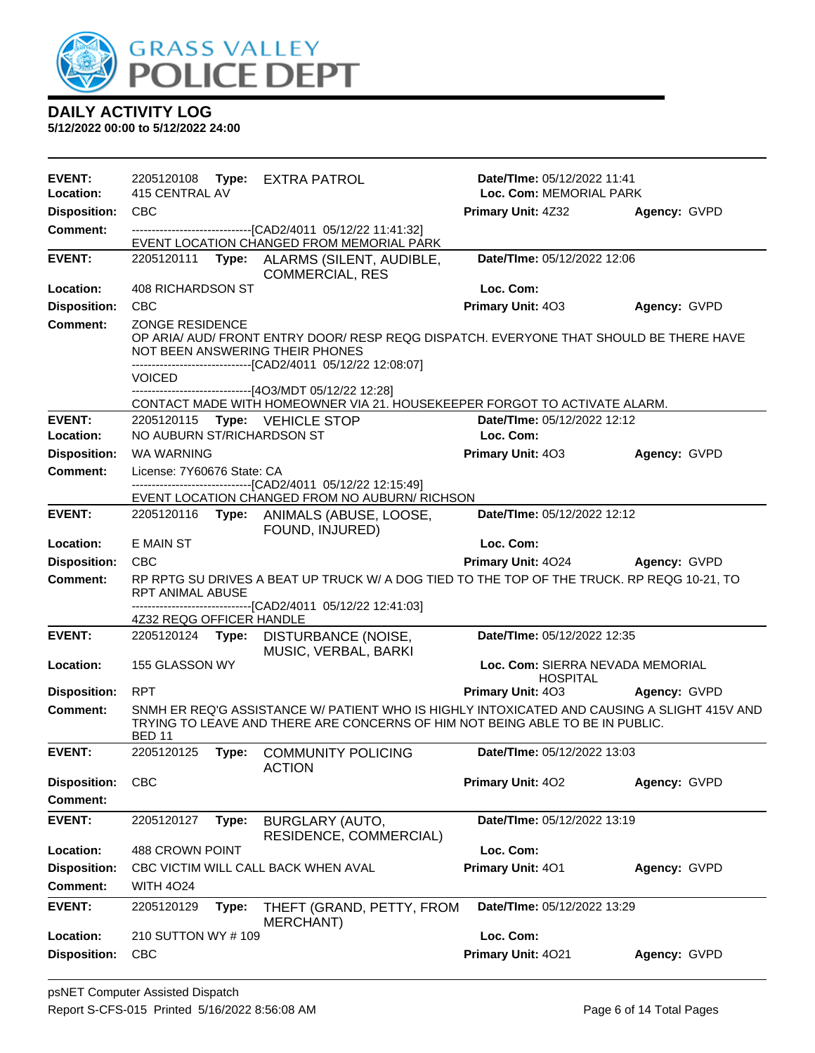

| <b>EVENT:</b>       | 2205120108                 |       | Type: EXTRA PATROL                                                                                                                                                           | <b>Date/Time: 05/12/2022 11:41</b>                  |              |
|---------------------|----------------------------|-------|------------------------------------------------------------------------------------------------------------------------------------------------------------------------------|-----------------------------------------------------|--------------|
| Location:           | 415 CENTRAL AV             |       |                                                                                                                                                                              | Loc. Com: MEMORIAL PARK                             |              |
| <b>Disposition:</b> | <b>CBC</b>                 |       |                                                                                                                                                                              | <b>Primary Unit: 4Z32</b>                           | Agency: GVPD |
| <b>Comment:</b>     |                            |       | -------------------------------[CAD2/4011 05/12/22 11:41:32]<br>EVENT LOCATION CHANGED FROM MEMORIAL PARK                                                                    |                                                     |              |
| <b>EVENT:</b>       | 2205120111                 | Type: | ALARMS (SILENT, AUDIBLE,<br><b>COMMERCIAL, RES</b>                                                                                                                           | Date/TIme: 05/12/2022 12:06                         |              |
| Location:           | 408 RICHARDSON ST          |       |                                                                                                                                                                              | Loc. Com:                                           |              |
| <b>Disposition:</b> | <b>CBC</b>                 |       |                                                                                                                                                                              | Primary Unit: 403                                   | Agency: GVPD |
| <b>Comment:</b>     | ZONGE RESIDENCE            |       |                                                                                                                                                                              |                                                     |              |
|                     |                            |       | OP ARIA/ AUD/ FRONT ENTRY DOOR/ RESP REQG DISPATCH. EVERYONE THAT SHOULD BE THERE HAVE<br>NOT BEEN ANSWERING THEIR PHONES                                                    |                                                     |              |
|                     |                            |       | -------------------------------[CAD2/4011 05/12/22 12:08:07]                                                                                                                 |                                                     |              |
|                     | <b>VOICED</b>              |       |                                                                                                                                                                              |                                                     |              |
|                     |                            |       | ------------------[4O3/MDT 05/12/22 12:28]<br>CONTACT MADE WITH HOMEOWNER VIA 21. HOUSEKEEPER FORGOT TO ACTIVATE ALARM.                                                      |                                                     |              |
| <b>EVENT:</b>       | 2205120115                 |       | Type: VEHICLE STOP                                                                                                                                                           | Date/TIme: 05/12/2022 12:12                         |              |
| Location:           | NO AUBURN ST/RICHARDSON ST |       |                                                                                                                                                                              | Loc. Com:                                           |              |
| <b>Disposition:</b> | WA WARNING                 |       |                                                                                                                                                                              | <b>Primary Unit: 403</b>                            | Agency: GVPD |
| Comment:            | License: 7Y60676 State: CA |       |                                                                                                                                                                              |                                                     |              |
|                     |                            |       | -------------------------------[CAD2/4011_05/12/22 12:15:49]                                                                                                                 |                                                     |              |
| <b>EVENT:</b>       | 2205120116                 |       | EVENT LOCATION CHANGED FROM NO AUBURN/ RICHSON<br>Type: ANIMALS (ABUSE, LOOSE,                                                                                               | Date/TIme: 05/12/2022 12:12                         |              |
|                     |                            |       | FOUND, INJURED)                                                                                                                                                              |                                                     |              |
| Location:           | E MAIN ST                  |       |                                                                                                                                                                              | Loc. Com:                                           |              |
| <b>Disposition:</b> | <b>CBC</b>                 |       |                                                                                                                                                                              | <b>Primary Unit: 4024</b>                           | Agency: GVPD |
| <b>Comment:</b>     | RPT ANIMAL ABUSE           |       | RP RPTG SU DRIVES A BEAT UP TRUCK W/ A DOG TIED TO THE TOP OF THE TRUCK. RP REQG 10-21, TO<br>-------------------------------[CAD2/4011_05/12/22 12:41:03]                   |                                                     |              |
|                     | 4Z32 REQG OFFICER HANDLE   |       |                                                                                                                                                                              |                                                     |              |
| <b>EVENT:</b>       | 2205120124 Type:           |       | DISTURBANCE (NOISE,<br>MUSIC, VERBAL, BARKI                                                                                                                                  | Date/TIme: 05/12/2022 12:35                         |              |
| <b>Location:</b>    | 155 GLASSON WY             |       |                                                                                                                                                                              | Loc. Com: SIERRA NEVADA MEMORIAL<br><b>HOSPITAL</b> |              |
| <b>Disposition:</b> | <b>RPT</b>                 |       |                                                                                                                                                                              | Primary Unit: 403                                   | Agency: GVPD |
| <b>Comment:</b>     | <b>BED 11</b>              |       | SNMH ER REQ'G ASSISTANCE W/ PATIENT WHO IS HIGHLY INTOXICATED AND CAUSING A SLIGHT 415V AND<br>TRYING TO LEAVE AND THERE ARE CONCERNS OF HIM NOT BEING ABLE TO BE IN PUBLIC. |                                                     |              |
| <b>EVENT:</b>       | 2205120125                 | Type: | <b>COMMUNITY POLICING</b><br><b>ACTION</b>                                                                                                                                   | Date/TIme: 05/12/2022 13:03                         |              |
| <b>Disposition:</b> | <b>CBC</b>                 |       |                                                                                                                                                                              | Primary Unit: 402                                   | Agency: GVPD |
| <b>Comment:</b>     |                            |       |                                                                                                                                                                              |                                                     |              |
| <b>EVENT:</b>       | 2205120127                 | Type: | BURGLARY (AUTO,<br>RESIDENCE, COMMERCIAL)                                                                                                                                    | Date/TIme: 05/12/2022 13:19                         |              |
| Location:           | 488 CROWN POINT            |       |                                                                                                                                                                              | Loc. Com:                                           |              |
| <b>Disposition:</b> |                            |       | CBC VICTIM WILL CALL BACK WHEN AVAL                                                                                                                                          | Primary Unit: 401                                   | Agency: GVPD |
| Comment:            | <b>WITH 4024</b>           |       |                                                                                                                                                                              |                                                     |              |
| <b>EVENT:</b>       | 2205120129                 | Type: | THEFT (GRAND, PETTY, FROM<br>MERCHANT)                                                                                                                                       | Date/TIme: 05/12/2022 13:29                         |              |
| Location:           | 210 SUTTON WY #109         |       |                                                                                                                                                                              | Loc. Com:                                           |              |
| <b>Disposition:</b> | <b>CBC</b>                 |       |                                                                                                                                                                              | Primary Unit: 4021                                  | Agency: GVPD |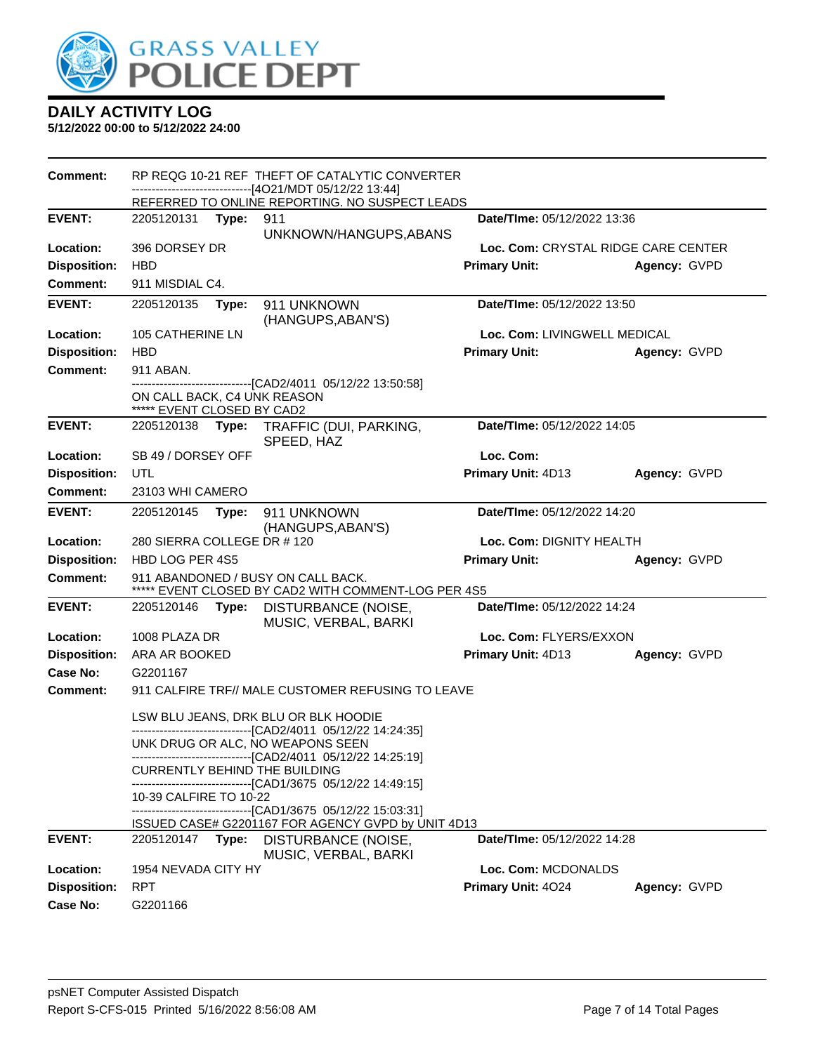

| Comment:            |                                                           |       | RP REQG 10-21 REF THEFT OF CATALYTIC CONVERTER<br>------------------------[4O21/MDT 05/12/22 13:44]                                                          |                                     |              |
|---------------------|-----------------------------------------------------------|-------|--------------------------------------------------------------------------------------------------------------------------------------------------------------|-------------------------------------|--------------|
|                     |                                                           |       | REFERRED TO ONLINE REPORTING. NO SUSPECT LEADS                                                                                                               |                                     |              |
| <b>EVENT:</b>       | 2205120131 Type:                                          |       | 911                                                                                                                                                          | Date/TIme: 05/12/2022 13:36         |              |
|                     |                                                           |       | UNKNOWN/HANGUPS, ABANS                                                                                                                                       |                                     |              |
| Location:           | 396 DORSEY DR                                             |       |                                                                                                                                                              | Loc. Com: CRYSTAL RIDGE CARE CENTER |              |
| <b>Disposition:</b> | <b>HBD</b>                                                |       |                                                                                                                                                              | <b>Primary Unit:</b>                | Agency: GVPD |
| <b>Comment:</b>     | 911 MISDIAL C4.                                           |       |                                                                                                                                                              |                                     |              |
| <b>EVENT:</b>       | 2205120135                                                | Type: | 911 UNKNOWN<br>(HANGUPS, ABAN'S)                                                                                                                             | Date/TIme: 05/12/2022 13:50         |              |
| Location:           | 105 CATHERINE LN                                          |       |                                                                                                                                                              | Loc. Com: LIVINGWELL MEDICAL        |              |
| <b>Disposition:</b> | <b>HBD</b>                                                |       |                                                                                                                                                              | <b>Primary Unit:</b>                | Agency: GVPD |
| <b>Comment:</b>     | 911 ABAN.                                                 |       |                                                                                                                                                              |                                     |              |
|                     | ON CALL BACK, C4 UNK REASON<br>***** EVENT CLOSED BY CAD2 |       | --------------------------------[CAD2/4011 05/12/22 13:50:58]                                                                                                |                                     |              |
| <b>EVENT:</b>       | 2205120138                                                | Type: | TRAFFIC (DUI, PARKING,<br>SPEED, HAZ                                                                                                                         | Date/TIme: 05/12/2022 14:05         |              |
| Location:           | SB 49 / DORSEY OFF                                        |       |                                                                                                                                                              | Loc. Com:                           |              |
| <b>Disposition:</b> | UTL                                                       |       |                                                                                                                                                              | Primary Unit: 4D13                  | Agency: GVPD |
| Comment:            | 23103 WHI CAMERO                                          |       |                                                                                                                                                              |                                     |              |
| <b>EVENT:</b>       | 2205120145                                                | Type: | 911 UNKNOWN<br>(HANGUPS, ABAN'S)                                                                                                                             | Date/TIme: 05/12/2022 14:20         |              |
| Location:           | 280 SIERRA COLLEGE DR #120                                |       |                                                                                                                                                              | Loc. Com: DIGNITY HEALTH            |              |
| <b>Disposition:</b> | HBD LOG PER 4S5                                           |       |                                                                                                                                                              | <b>Primary Unit:</b>                | Agency: GVPD |
| <b>Comment:</b>     |                                                           |       | 911 ABANDONED / BUSY ON CALL BACK.<br>***** EVENT CLOSED BY CAD2 WITH COMMENT-LOG PER 4S5                                                                    |                                     |              |
| <b>EVENT:</b>       | 2205120146                                                | Type: | DISTURBANCE (NOISE,<br>MUSIC, VERBAL, BARKI                                                                                                                  | Date/TIme: 05/12/2022 14:24         |              |
| Location:           | 1008 PLAZA DR                                             |       |                                                                                                                                                              | Loc. Com: FLYERS/EXXON              |              |
| <b>Disposition:</b> | ARA AR BOOKED                                             |       |                                                                                                                                                              | Primary Unit: 4D13                  | Agency: GVPD |
| Case No:            | G2201167                                                  |       |                                                                                                                                                              |                                     |              |
| Comment:            |                                                           |       | 911 CALFIRE TRF// MALE CUSTOMER REFUSING TO LEAVE                                                                                                            |                                     |              |
|                     |                                                           |       | LSW BLU JEANS, DRK BLU OR BLK HOODIE                                                                                                                         |                                     |              |
|                     |                                                           |       | ----------------------[CAD2/4011_05/12/22 14:24:35]<br>UNK DRUG OR ALC, NO WEAPONS SEEN                                                                      |                                     |              |
|                     |                                                           |       | ----------------------------[CAD2/4011 05/12/22 14:25:19]<br><b>CURRENTLY BEHIND THE BUILDING</b><br>--------------------------[CAD1/3675_05/12/22 14:49:15] |                                     |              |
|                     | 10-39 CALFIRE TO 10-22                                    |       |                                                                                                                                                              |                                     |              |
|                     |                                                           |       | -------------------------------[CAD1/3675_05/12/22 15:03:31]                                                                                                 |                                     |              |
| <b>EVENT:</b>       | 2205120147                                                | Type: | ISSUED CASE# G2201167 FOR AGENCY GVPD by UNIT 4D13                                                                                                           | <b>Date/Time: 05/12/2022 14:28</b>  |              |
|                     |                                                           |       | DISTURBANCE (NOISE,<br>MUSIC, VERBAL, BARKI                                                                                                                  |                                     |              |
| Location:           | 1954 NEVADA CITY HY                                       |       |                                                                                                                                                              | Loc. Com: MCDONALDS                 |              |
| <b>Disposition:</b> | <b>RPT</b>                                                |       |                                                                                                                                                              | Primary Unit: 4024                  | Agency: GVPD |
| Case No:            | G2201166                                                  |       |                                                                                                                                                              |                                     |              |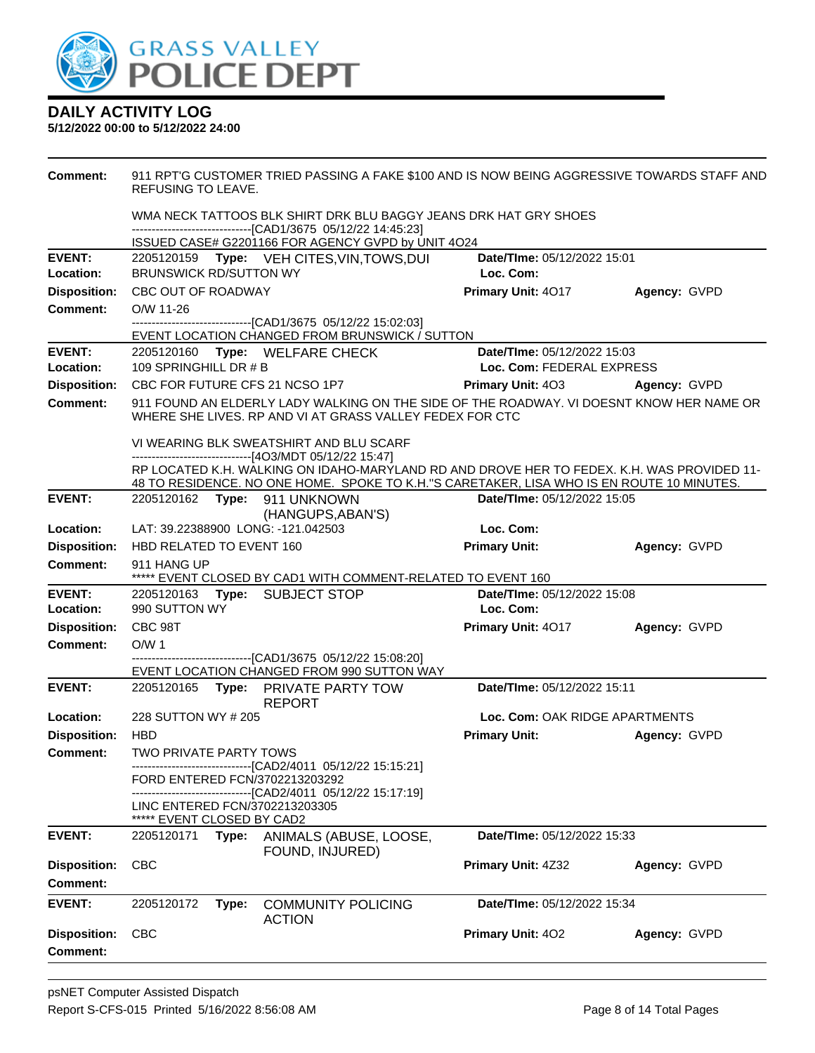

| Comment:                               | 911 RPT'G CUSTOMER TRIED PASSING A FAKE \$100 AND IS NOW BEING AGGRESSIVE TOWARDS STAFF AND<br>REFUSING TO LEAVE.<br>WMA NECK TATTOOS BLK SHIRT DRK BLU BAGGY JEANS DRK HAT GRY SHOES<br>-------------------------------[CAD1/3675 05/12/22 14:45:23] |                                                                                                   |                                                                                                                                                                                         |                                          |              |  |  |  |
|----------------------------------------|-------------------------------------------------------------------------------------------------------------------------------------------------------------------------------------------------------------------------------------------------------|---------------------------------------------------------------------------------------------------|-----------------------------------------------------------------------------------------------------------------------------------------------------------------------------------------|------------------------------------------|--------------|--|--|--|
|                                        |                                                                                                                                                                                                                                                       |                                                                                                   |                                                                                                                                                                                         |                                          |              |  |  |  |
|                                        |                                                                                                                                                                                                                                                       |                                                                                                   | ISSUED CASE# G2201166 FOR AGENCY GVPD by UNIT 4O24                                                                                                                                      |                                          |              |  |  |  |
| <b>EVENT:</b><br>Location:             | <b>BRUNSWICK RD/SUTTON WY</b>                                                                                                                                                                                                                         |                                                                                                   | 2205120159 Type: VEH CITES, VIN, TOWS, DUI                                                                                                                                              | Date/TIme: 05/12/2022 15:01<br>Loc. Com: |              |  |  |  |
| <b>Disposition:</b>                    | CBC OUT OF ROADWAY                                                                                                                                                                                                                                    |                                                                                                   |                                                                                                                                                                                         | Primary Unit: 4017                       | Agency: GVPD |  |  |  |
| Comment:                               | O/W 11-26                                                                                                                                                                                                                                             |                                                                                                   |                                                                                                                                                                                         |                                          |              |  |  |  |
|                                        |                                                                                                                                                                                                                                                       |                                                                                                   | --------------------------------[CAD1/3675 05/12/22 15:02:03]<br>EVENT LOCATION CHANGED FROM BRUNSWICK / SUTTON                                                                         |                                          |              |  |  |  |
| <b>EVENT:</b>                          |                                                                                                                                                                                                                                                       |                                                                                                   | 2205120160 Type: WELFARE CHECK                                                                                                                                                          | Date/TIme: 05/12/2022 15:03              |              |  |  |  |
| Location:                              | 109 SPRINGHILL DR # B                                                                                                                                                                                                                                 |                                                                                                   |                                                                                                                                                                                         | Loc. Com: FEDERAL EXPRESS                |              |  |  |  |
| <b>Disposition:</b>                    |                                                                                                                                                                                                                                                       |                                                                                                   | CBC FOR FUTURE CFS 21 NCSO 1P7                                                                                                                                                          | <b>Primary Unit: 403</b>                 | Agency: GVPD |  |  |  |
| <b>Comment:</b>                        |                                                                                                                                                                                                                                                       |                                                                                                   | 911 FOUND AN ELDERLY LADY WALKING ON THE SIDE OF THE ROADWAY. VI DOESNT KNOW HER NAME OR<br>WHERE SHE LIVES. RP AND VI AT GRASS VALLEY FEDEX FOR CTC                                    |                                          |              |  |  |  |
|                                        |                                                                                                                                                                                                                                                       | VI WEARING BLK SWEATSHIRT AND BLU SCARF<br>------------------------------[4O3/MDT 05/12/22 15:47] |                                                                                                                                                                                         |                                          |              |  |  |  |
|                                        |                                                                                                                                                                                                                                                       |                                                                                                   | RP LOCATED K.H. WALKING ON IDAHO-MARYLAND RD AND DROVE HER TO FEDEX. K.H. WAS PROVIDED 11-<br>48 TO RESIDENCE. NO ONE HOME. SPOKE TO K.H."S CARETAKER, LISA WHO IS EN ROUTE 10 MINUTES. |                                          |              |  |  |  |
| <b>EVENT:</b>                          |                                                                                                                                                                                                                                                       |                                                                                                   | 2205120162    Type: 911    UNKNOWN<br>(HANGUPS, ABAN'S)                                                                                                                                 | Date/TIme: 05/12/2022 15:05              |              |  |  |  |
| Location:                              |                                                                                                                                                                                                                                                       |                                                                                                   | LAT: 39.22388900 LONG: -121.042503                                                                                                                                                      | Loc. Com:                                |              |  |  |  |
| <b>Disposition:</b>                    | HBD RELATED TO EVENT 160                                                                                                                                                                                                                              |                                                                                                   |                                                                                                                                                                                         | <b>Primary Unit:</b>                     | Agency: GVPD |  |  |  |
| Comment:                               | 911 HANG UP<br>***** EVENT CLOSED BY CAD1 WITH COMMENT-RELATED TO EVENT 160                                                                                                                                                                           |                                                                                                   |                                                                                                                                                                                         |                                          |              |  |  |  |
| <b>EVENT:</b>                          |                                                                                                                                                                                                                                                       |                                                                                                   | 2205120163 Type: SUBJECT STOP                                                                                                                                                           | Date/TIme: 05/12/2022 15:08              |              |  |  |  |
| Location:                              | 990 SUTTON WY                                                                                                                                                                                                                                         |                                                                                                   |                                                                                                                                                                                         | Loc. Com:                                |              |  |  |  |
| <b>Disposition:</b>                    | CBC 98T                                                                                                                                                                                                                                               |                                                                                                   |                                                                                                                                                                                         | <b>Primary Unit: 4017</b>                | Agency: GVPD |  |  |  |
| <b>Comment:</b>                        | O/W <sub>1</sub>                                                                                                                                                                                                                                      |                                                                                                   |                                                                                                                                                                                         |                                          |              |  |  |  |
|                                        |                                                                                                                                                                                                                                                       |                                                                                                   | -------------------------------[CAD1/3675 05/12/22 15:08:20]                                                                                                                            |                                          |              |  |  |  |
| <b>EVENT:</b>                          |                                                                                                                                                                                                                                                       |                                                                                                   | EVENT LOCATION CHANGED FROM 990 SUTTON WAY<br>2205120165 Type: PRIVATE PARTY TOW                                                                                                        | Date/TIme: 05/12/2022 15:11              |              |  |  |  |
|                                        |                                                                                                                                                                                                                                                       |                                                                                                   | <b>REPORT</b>                                                                                                                                                                           |                                          |              |  |  |  |
| Location:                              | 228 SUTTON WY # 205                                                                                                                                                                                                                                   |                                                                                                   |                                                                                                                                                                                         | Loc. Com: OAK RIDGE APARTMENTS           |              |  |  |  |
| Disposition: HBD                       |                                                                                                                                                                                                                                                       |                                                                                                   |                                                                                                                                                                                         | <b>Primary Unit:</b>                     | Agency: GVPD |  |  |  |
| Comment:                               | TWO PRIVATE PARTY TOWS                                                                                                                                                                                                                                |                                                                                                   |                                                                                                                                                                                         |                                          |              |  |  |  |
|                                        |                                                                                                                                                                                                                                                       |                                                                                                   | ----------------------------[CAD2/4011  05/12/22 15:15:21]<br>FORD ENTERED FCN/3702213203292<br>-------------------------------[CAD2/4011 05/12/22 15:17:19]                            |                                          |              |  |  |  |
|                                        | ***** EVENT CLOSED BY CAD2                                                                                                                                                                                                                            |                                                                                                   | LINC ENTERED FCN/3702213203305                                                                                                                                                          |                                          |              |  |  |  |
| <b>EVENT:</b>                          | 2205120171                                                                                                                                                                                                                                            | Type:                                                                                             | ANIMALS (ABUSE, LOOSE,<br>FOUND, INJURED)                                                                                                                                               | Date/TIme: 05/12/2022 15:33              |              |  |  |  |
| <b>Disposition:</b>                    | <b>CBC</b>                                                                                                                                                                                                                                            |                                                                                                   |                                                                                                                                                                                         | Primary Unit: 4Z32                       | Agency: GVPD |  |  |  |
| <b>Comment:</b>                        |                                                                                                                                                                                                                                                       |                                                                                                   |                                                                                                                                                                                         |                                          |              |  |  |  |
| <b>EVENT:</b>                          | 2205120172                                                                                                                                                                                                                                            | Type:                                                                                             | <b>COMMUNITY POLICING</b><br><b>ACTION</b>                                                                                                                                              | Date/TIme: 05/12/2022 15:34              |              |  |  |  |
| <b>Disposition:</b><br><b>Comment:</b> | <b>CBC</b>                                                                                                                                                                                                                                            |                                                                                                   |                                                                                                                                                                                         | Primary Unit: 402                        | Agency: GVPD |  |  |  |
|                                        |                                                                                                                                                                                                                                                       |                                                                                                   |                                                                                                                                                                                         |                                          |              |  |  |  |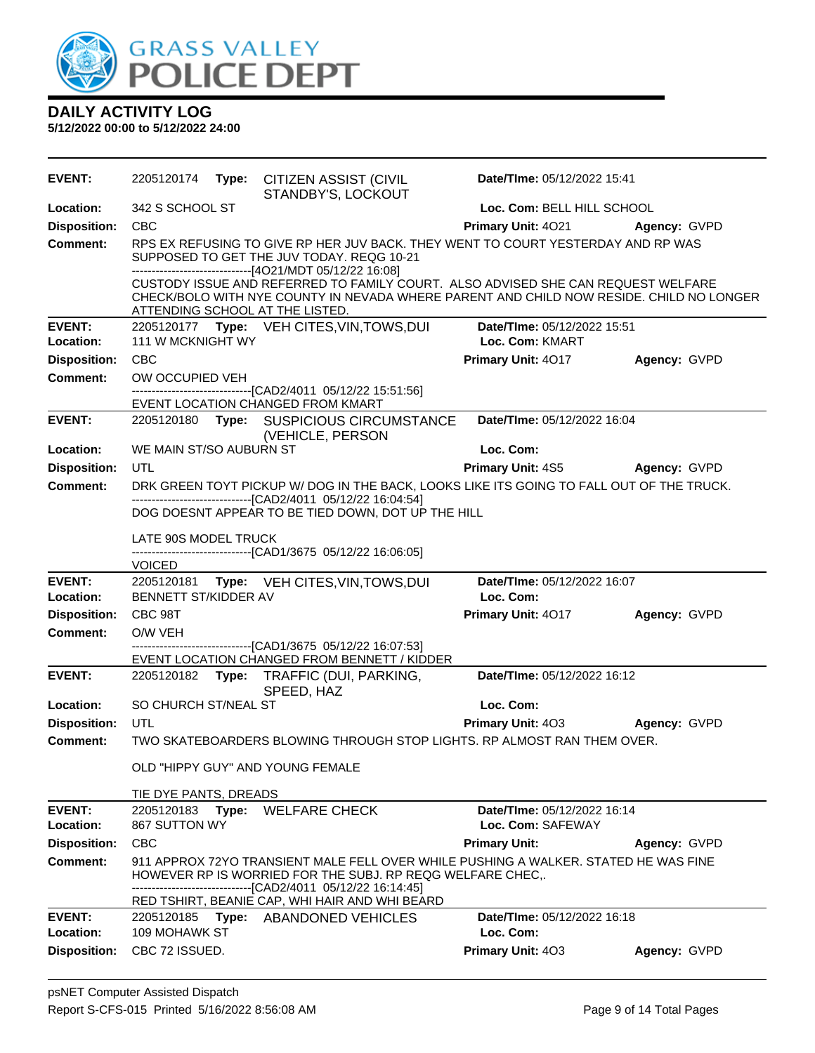

| <b>EVENT:</b>       |                         | 2205120174 Type: CITIZEN ASSIST (CIVIL<br>STANDBY'S, LOCKOUT                                                                                                                                                                                                                  | Date/TIme: 05/12/2022 15:41    |                     |
|---------------------|-------------------------|-------------------------------------------------------------------------------------------------------------------------------------------------------------------------------------------------------------------------------------------------------------------------------|--------------------------------|---------------------|
| Location:           | 342 S SCHOOL ST         |                                                                                                                                                                                                                                                                               | Loc. Com: BELL HILL SCHOOL     |                     |
| <b>Disposition:</b> | <b>CBC</b>              |                                                                                                                                                                                                                                                                               | Primary Unit: 4021             | Agency: GVPD        |
| Comment:            |                         | RPS EX REFUSING TO GIVE RP HER JUV BACK. THEY WENT TO COURT YESTERDAY AND RP WAS<br>SUPPOSED TO GET THE JUV TODAY. REQG 10-21<br>-------------------------------[4O21/MDT 05/12/22 16:08]<br>CUSTODY ISSUE AND REFERRED TO FAMILY COURT. ALSO ADVISED SHE CAN REQUEST WELFARE |                                |                     |
|                     |                         | CHECK/BOLO WITH NYE COUNTY IN NEVADA WHERE PARENT AND CHILD NOW RESIDE. CHILD NO LONGER<br>ATTENDING SCHOOL AT THE LISTED.                                                                                                                                                    |                                |                     |
| <b>EVENT:</b>       |                         | 2205120177 Type: VEH CITES, VIN, TOWS, DUI                                                                                                                                                                                                                                    | Date/TIme: 05/12/2022 15:51    |                     |
| Location:           | 111 W MCKNIGHT WY       |                                                                                                                                                                                                                                                                               | Loc. Com: KMART                |                     |
| <b>Disposition:</b> | CBC                     |                                                                                                                                                                                                                                                                               | Primary Unit: 4017             | Agency: GVPD        |
| <b>Comment:</b>     | OW OCCUPIED VEH         |                                                                                                                                                                                                                                                                               |                                |                     |
|                     |                         | -------------------------------[CAD2/4011_05/12/22 15:51:56]                                                                                                                                                                                                                  |                                |                     |
| <b>EVENT:</b>       |                         | EVENT LOCATION CHANGED FROM KMART<br>2205120180 Type: SUSPICIOUS CIRCUMSTANCE                                                                                                                                                                                                 | Date/TIme: 05/12/2022 16:04    |                     |
|                     |                         | (VEHICLE, PERSON                                                                                                                                                                                                                                                              |                                |                     |
| Location:           | WE MAIN ST/SO AUBURN ST |                                                                                                                                                                                                                                                                               | Loc. Com:                      |                     |
| <b>Disposition:</b> | UTL                     |                                                                                                                                                                                                                                                                               | <b>Primary Unit: 4S5</b>       | <b>Agency: GVPD</b> |
| <b>Comment:</b>     |                         | DRK GREEN TOYT PICKUP W/ DOG IN THE BACK, LOOKS LIKE ITS GOING TO FALL OUT OF THE TRUCK.                                                                                                                                                                                      |                                |                     |
|                     |                         | -------------------------------[CAD2/4011 05/12/22 16:04:54]                                                                                                                                                                                                                  |                                |                     |
|                     |                         | DOG DOESNT APPEAR TO BE TIED DOWN, DOT UP THE HILL                                                                                                                                                                                                                            |                                |                     |
|                     | LATE 90S MODEL TRUCK    |                                                                                                                                                                                                                                                                               |                                |                     |
|                     |                         | -------------------------------[CAD1/3675 05/12/22 16:06:05]                                                                                                                                                                                                                  |                                |                     |
| <b>EVENT:</b>       | <b>VOICED</b>           | 2205120181 Type: VEH CITES, VIN, TOWS, DUI                                                                                                                                                                                                                                    | Date/TIme: 05/12/2022 16:07    |                     |
| Location:           | BENNETT ST/KIDDER AV    |                                                                                                                                                                                                                                                                               | Loc. Com:                      |                     |
| <b>Disposition:</b> | CBC 98T                 |                                                                                                                                                                                                                                                                               | Primary Unit: 4017             | Agency: GVPD        |
| <b>Comment:</b>     | O/W VEH                 |                                                                                                                                                                                                                                                                               |                                |                     |
|                     |                         | -------------------------------[CAD1/3675_05/12/22_16:07:53]                                                                                                                                                                                                                  |                                |                     |
|                     |                         |                                                                                                                                                                                                                                                                               |                                |                     |
|                     |                         | EVENT LOCATION CHANGED FROM BENNETT / KIDDER                                                                                                                                                                                                                                  |                                |                     |
| <b>EVENT:</b>       |                         | 2205120182 Type: TRAFFIC (DUI, PARKING,<br>SPEED, HAZ                                                                                                                                                                                                                         | Date/TIme: 05/12/2022 16:12    |                     |
| <b>Location:</b>    | SO CHURCH ST/NEAL ST    |                                                                                                                                                                                                                                                                               | Loc. Com:                      |                     |
| <b>Disposition:</b> | UTL                     |                                                                                                                                                                                                                                                                               | Primary Unit: 403 Agency: GVPD |                     |
| Comment:            |                         | TWO SKATEBOARDERS BLOWING THROUGH STOP LIGHTS. RP ALMOST RAN THEM OVER.                                                                                                                                                                                                       |                                |                     |
|                     |                         | OLD "HIPPY GUY" AND YOUNG FEMALE                                                                                                                                                                                                                                              |                                |                     |
|                     | TIE DYE PANTS, DREADS   |                                                                                                                                                                                                                                                                               |                                |                     |
| <b>EVENT:</b>       | 2205120183              | Type: WELFARE CHECK                                                                                                                                                                                                                                                           | Date/TIme: 05/12/2022 16:14    |                     |
| <b>Location:</b>    | 867 SUTTON WY           |                                                                                                                                                                                                                                                                               | Loc. Com: SAFEWAY              |                     |
| <b>Disposition:</b> | <b>CBC</b>              |                                                                                                                                                                                                                                                                               | <b>Primary Unit:</b>           | Agency: GVPD        |
| Comment:            |                         | 911 APPROX 72YO TRANSIENT MALE FELL OVER WHILE PUSHING A WALKER. STATED HE WAS FINE<br>HOWEVER RP IS WORRIED FOR THE SUBJ. RP REQG WELFARE CHEC                                                                                                                               |                                |                     |
|                     |                         | -----------------[CAD2/4011_05/12/22 16:14:45]                                                                                                                                                                                                                                |                                |                     |
| <b>EVENT:</b>       | 2205120185 Type:        | RED TSHIRT, BEANIE CAP, WHI HAIR AND WHI BEARD                                                                                                                                                                                                                                | Date/TIme: 05/12/2022 16:18    |                     |
| Location:           | 109 MOHAWK ST           | <b>ABANDONED VEHICLES</b>                                                                                                                                                                                                                                                     | Loc. Com:                      |                     |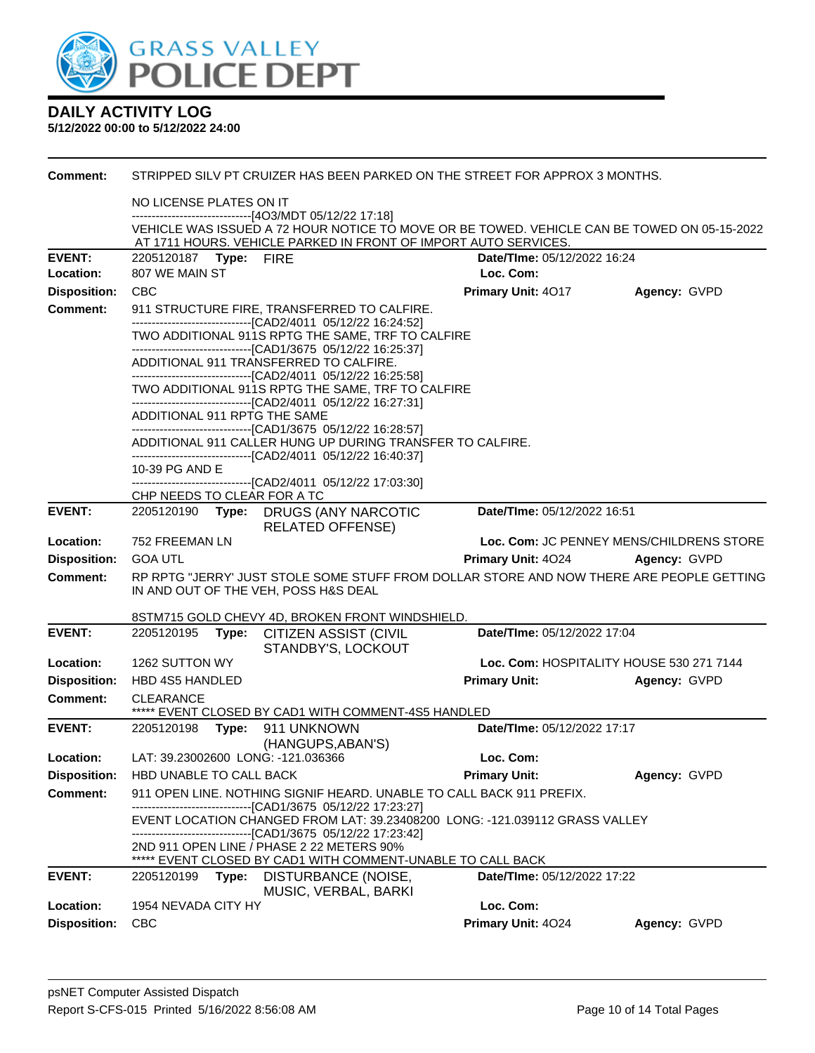

| Comment:            |                                                                                                                                                       |                                                                                                                           | STRIPPED SILV PT CRUIZER HAS BEEN PARKED ON THE STREET FOR APPROX 3 MONTHS.                                                                  |                                 |                                          |  |  |  |
|---------------------|-------------------------------------------------------------------------------------------------------------------------------------------------------|---------------------------------------------------------------------------------------------------------------------------|----------------------------------------------------------------------------------------------------------------------------------------------|---------------------------------|------------------------------------------|--|--|--|
|                     | NO LICENSE PLATES ON IT                                                                                                                               |                                                                                                                           |                                                                                                                                              |                                 |                                          |  |  |  |
|                     | ------------------------------[4O3/MDT 05/12/22 17:18]<br>VEHICLE WAS ISSUED A 72 HOUR NOTICE TO MOVE OR BE TOWED. VEHICLE CAN BE TOWED ON 05-15-2022 |                                                                                                                           |                                                                                                                                              |                                 |                                          |  |  |  |
|                     |                                                                                                                                                       |                                                                                                                           | AT 1711 HOURS. VEHICLE PARKED IN FRONT OF IMPORT AUTO SERVICES.                                                                              |                                 |                                          |  |  |  |
| <b>EVENT:</b>       | 2205120187    Type: FIRE                                                                                                                              |                                                                                                                           |                                                                                                                                              | Date/TIme: 05/12/2022 16:24     |                                          |  |  |  |
| Location:           | 807 WE MAIN ST                                                                                                                                        |                                                                                                                           |                                                                                                                                              | Loc. Com:                       |                                          |  |  |  |
| <b>Disposition:</b> | <b>CBC</b>                                                                                                                                            |                                                                                                                           |                                                                                                                                              | Primary Unit: 4017              | Agency: GVPD                             |  |  |  |
| <b>Comment:</b>     |                                                                                                                                                       |                                                                                                                           | 911 STRUCTURE FIRE, TRANSFERRED TO CALFIRE.<br>-------------------------------[CAD2/4011 05/12/22 16:24:52]                                  |                                 |                                          |  |  |  |
|                     |                                                                                                                                                       |                                                                                                                           | TWO ADDITIONAL 911S RPTG THE SAME, TRF TO CALFIRE                                                                                            |                                 |                                          |  |  |  |
|                     |                                                                                                                                                       |                                                                                                                           | --------------------------------[CAD1/3675 05/12/22 16:25:37]<br>ADDITIONAL 911 TRANSFERRED TO CALFIRE.                                      |                                 |                                          |  |  |  |
|                     |                                                                                                                                                       |                                                                                                                           | ----------------------------------[CAD2/4011 05/12/22 16:25:58]                                                                              |                                 |                                          |  |  |  |
|                     |                                                                                                                                                       |                                                                                                                           | TWO ADDITIONAL 911S RPTG THE SAME, TRF TO CALFIRE                                                                                            |                                 |                                          |  |  |  |
|                     | ADDITIONAL 911 RPTG THE SAME                                                                                                                          |                                                                                                                           | -------------------------------[CAD2/4011 05/12/22 16:27:31]                                                                                 |                                 |                                          |  |  |  |
|                     |                                                                                                                                                       |                                                                                                                           | --------------------------------[CAD1/3675 05/12/22 16:28:57]                                                                                |                                 |                                          |  |  |  |
|                     |                                                                                                                                                       | ADDITIONAL 911 CALLER HUNG UP DURING TRANSFER TO CALFIRE.<br>-------------------------------[CAD2/4011 05/12/22 16:40:37] |                                                                                                                                              |                                 |                                          |  |  |  |
|                     | 10-39 PG AND E<br>--------------------------------[CAD2/4011 05/12/22 17:03:30]                                                                       |                                                                                                                           |                                                                                                                                              |                                 |                                          |  |  |  |
|                     | CHP NEEDS TO CLEAR FOR A TC                                                                                                                           |                                                                                                                           |                                                                                                                                              |                                 |                                          |  |  |  |
| <b>EVENT:</b>       |                                                                                                                                                       |                                                                                                                           | 2205120190 Type: DRUGS (ANY NARCOTIC<br><b>RELATED OFFENSE)</b>                                                                              | Date/TIme: 05/12/2022 16:51     |                                          |  |  |  |
| Location:           | 752 FREEMAN LN                                                                                                                                        |                                                                                                                           |                                                                                                                                              |                                 | Loc. Com: JC PENNEY MENS/CHILDRENS STORE |  |  |  |
| <b>Disposition:</b> | <b>GOA UTL</b>                                                                                                                                        |                                                                                                                           |                                                                                                                                              | Primary Unit: 4024 Agency: GVPD |                                          |  |  |  |
| <b>Comment:</b>     |                                                                                                                                                       |                                                                                                                           | RP RPTG "JERRY' JUST STOLE SOME STUFF FROM DOLLAR STORE AND NOW THERE ARE PEOPLE GETTING                                                     |                                 |                                          |  |  |  |
|                     |                                                                                                                                                       |                                                                                                                           | IN AND OUT OF THE VEH, POSS H&S DEAL                                                                                                         |                                 |                                          |  |  |  |
|                     |                                                                                                                                                       |                                                                                                                           | 8STM715 GOLD CHEVY 4D, BROKEN FRONT WINDSHIELD.                                                                                              |                                 |                                          |  |  |  |
| <b>EVENT:</b>       | 2205120195                                                                                                                                            | Type:                                                                                                                     | <b>CITIZEN ASSIST (CIVIL</b><br>STANDBY'S, LOCKOUT                                                                                           | Date/TIme: 05/12/2022 17:04     |                                          |  |  |  |
| Location:           | 1262 SUTTON WY                                                                                                                                        |                                                                                                                           |                                                                                                                                              |                                 | Loc. Com: HOSPITALITY HOUSE 530 271 7144 |  |  |  |
| <b>Disposition:</b> | <b>HBD 4S5 HANDLED</b>                                                                                                                                |                                                                                                                           |                                                                                                                                              | <b>Primary Unit:</b>            | Agency: GVPD                             |  |  |  |
| Comment:            | <b>CLEARANCE</b>                                                                                                                                      |                                                                                                                           | ***** EVENT CLOSED BY CAD1 WITH COMMENT-4S5 HANDLED                                                                                          |                                 |                                          |  |  |  |
| <b>EVENT:</b>       | 2205120198 Type:                                                                                                                                      |                                                                                                                           | 911 UNKNOWN                                                                                                                                  | Date/TIme: 05/12/2022 17:17     |                                          |  |  |  |
|                     |                                                                                                                                                       |                                                                                                                           | (HANGUPS, ABAN'S)                                                                                                                            |                                 |                                          |  |  |  |
| Location:           |                                                                                                                                                       |                                                                                                                           | LAT: 39.23002600 LONG: -121.036366                                                                                                           | Loc. Com:                       |                                          |  |  |  |
| <b>Disposition:</b> | HBD UNABLE TO CALL BACK                                                                                                                               |                                                                                                                           |                                                                                                                                              | <b>Primary Unit:</b>            | Agency: GVPD                             |  |  |  |
| <b>Comment:</b>     |                                                                                                                                                       |                                                                                                                           | 911 OPEN LINE. NOTHING SIGNIF HEARD. UNABLE TO CALL BACK 911 PREFIX.<br>-------------------------[CAD1/3675_05/12/22_17:23:27]               |                                 |                                          |  |  |  |
|                     |                                                                                                                                                       |                                                                                                                           | EVENT LOCATION CHANGED FROM LAT: 39.23408200 LONG: -121.039112 GRASS VALLEY<br>--------------------------------[CAD1/3675 05/12/22 17:23:42] |                                 |                                          |  |  |  |
|                     |                                                                                                                                                       |                                                                                                                           | 2ND 911 OPEN LINE / PHASE 2 22 METERS 90%                                                                                                    |                                 |                                          |  |  |  |
|                     |                                                                                                                                                       |                                                                                                                           | EVENT CLOSED BY CAD1 WITH COMMENT-UNABLE TO CALL BACK                                                                                        | Date/TIme: 05/12/2022 17:22     |                                          |  |  |  |
| <b>EVENT:</b>       | 2205120199                                                                                                                                            |                                                                                                                           | Type: DISTURBANCE (NOISE,<br>MUSIC, VERBAL, BARKI                                                                                            |                                 |                                          |  |  |  |
| Location:           | 1954 NEVADA CITY HY                                                                                                                                   |                                                                                                                           |                                                                                                                                              | Loc. Com:                       |                                          |  |  |  |
| <b>Disposition:</b> | <b>CBC</b>                                                                                                                                            |                                                                                                                           |                                                                                                                                              | Primary Unit: 4024              | Agency: GVPD                             |  |  |  |
|                     |                                                                                                                                                       |                                                                                                                           |                                                                                                                                              |                                 |                                          |  |  |  |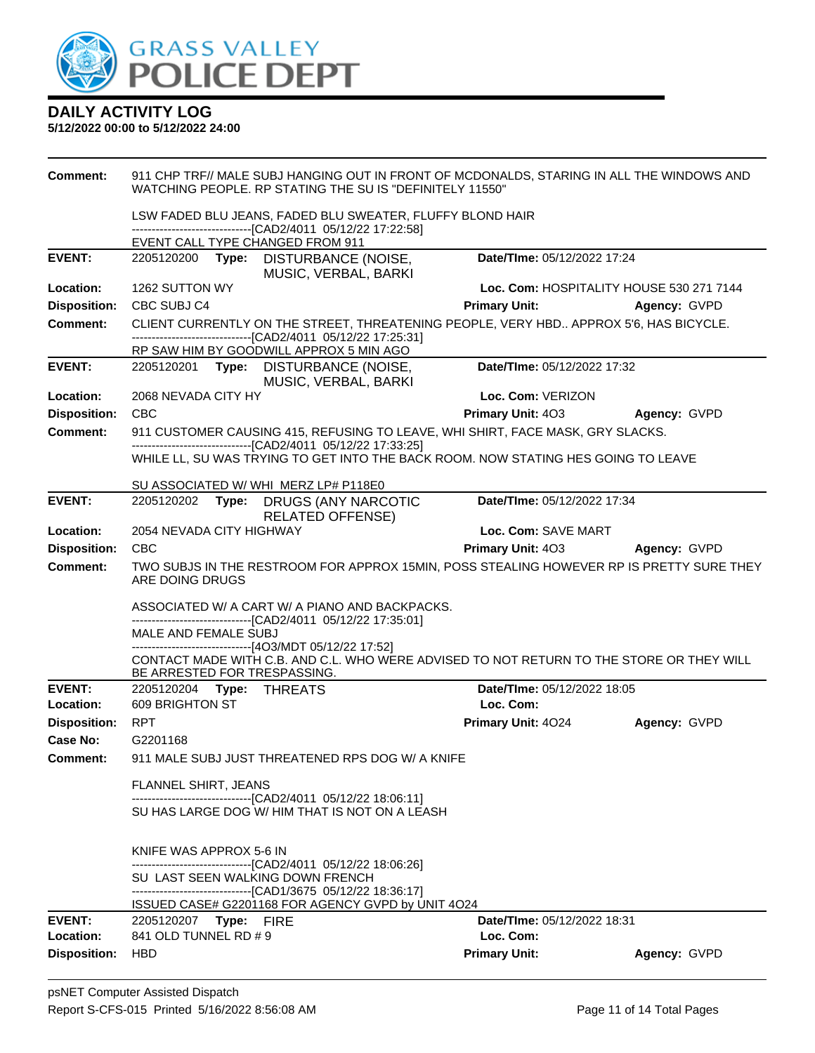

| <b>Comment:</b>     | 911 CHP TRF// MALE SUBJ HANGING OUT IN FRONT OF MCDONALDS, STARING IN ALL THE WINDOWS AND<br>WATCHING PEOPLE. RP STATING THE SU IS "DEFINITELY 11550" |                                          |              |  |  |
|---------------------|-------------------------------------------------------------------------------------------------------------------------------------------------------|------------------------------------------|--------------|--|--|
|                     | LSW FADED BLU JEANS, FADED BLU SWEATER, FLUFFY BLOND HAIR<br>-------------------------------[CAD2/4011_05/12/22 17:22:58]                             |                                          |              |  |  |
|                     | EVENT CALL TYPE CHANGED FROM 911                                                                                                                      |                                          |              |  |  |
| <b>EVENT:</b>       | 2205120200 Type: DISTURBANCE (NOISE,<br>MUSIC, VERBAL, BARKI                                                                                          | Date/TIme: 05/12/2022 17:24              |              |  |  |
| Location:           | 1262 SUTTON WY                                                                                                                                        | Loc. Com: HOSPITALITY HOUSE 530 271 7144 |              |  |  |
| <b>Disposition:</b> | CBC SUBJ C4                                                                                                                                           | <b>Primary Unit:</b>                     | Agency: GVPD |  |  |
| <b>Comment:</b>     | CLIENT CURRENTLY ON THE STREET, THREATENING PEOPLE, VERY HBD APPROX 5'6, HAS BICYCLE.                                                                 |                                          |              |  |  |
|                     | -------------------------------[CAD2/4011 05/12/22 17:25:31]<br>RP SAW HIM BY GOODWILL APPROX 5 MIN AGO                                               |                                          |              |  |  |
| <b>EVENT:</b>       | 2205120201 Type: DISTURBANCE (NOISE,                                                                                                                  | Date/TIme: 05/12/2022 17:32              |              |  |  |
|                     | MUSIC, VERBAL, BARKI                                                                                                                                  |                                          |              |  |  |
| Location:           | 2068 NEVADA CITY HY                                                                                                                                   | Loc. Com: VERIZON                        |              |  |  |
| <b>Disposition:</b> | <b>CBC</b>                                                                                                                                            | Primary Unit: 403                        | Agency: GVPD |  |  |
| <b>Comment:</b>     | 911 CUSTOMER CAUSING 415, REFUSING TO LEAVE, WHI SHIRT, FACE MASK, GRY SLACKS.                                                                        |                                          |              |  |  |
|                     | --------------------------------[CAD2/4011 05/12/22 17:33:25]<br>WHILE LL, SU WAS TRYING TO GET INTO THE BACK ROOM. NOW STATING HES GOING TO LEAVE    |                                          |              |  |  |
|                     |                                                                                                                                                       |                                          |              |  |  |
|                     | SU ASSOCIATED W/ WHI MERZ LP# P118E0                                                                                                                  |                                          |              |  |  |
| <b>EVENT:</b>       | 2205120202 Type: DRUGS (ANY NARCOTIC<br><b>RELATED OFFENSE)</b>                                                                                       | Date/TIme: 05/12/2022 17:34              |              |  |  |
| Location:           | 2054 NEVADA CITY HIGHWAY                                                                                                                              | Loc. Com: SAVE MART                      |              |  |  |
| <b>Disposition:</b> | CBC                                                                                                                                                   | <b>Primary Unit: 403 Agency: GVPD</b>    |              |  |  |
| <b>Comment:</b>     | TWO SUBJS IN THE RESTROOM FOR APPROX 15MIN, POSS STEALING HOWEVER RP IS PRETTY SURE THEY<br>ARE DOING DRUGS                                           |                                          |              |  |  |
|                     | ASSOCIATED W/ A CART W/ A PIANO AND BACKPACKS.                                                                                                        |                                          |              |  |  |
|                     | -------------------------------[CAD2/4011_05/12/22 17:35:01]<br>MALE AND FEMALE SUBJ                                                                  |                                          |              |  |  |
|                     | ------------------------------[4O3/MDT 05/12/22 17:52]                                                                                                |                                          |              |  |  |
|                     | CONTACT MADE WITH C.B. AND C.L. WHO WERE ADVISED TO NOT RETURN TO THE STORE OR THEY WILL<br>BE ARRESTED FOR TRESPASSING.                              |                                          |              |  |  |
| <b>EVENT:</b>       | 2205120204    Type: THREATS                                                                                                                           | Date/TIme: 05/12/2022 18:05              |              |  |  |
| Location:           | 609 BRIGHTON ST                                                                                                                                       | Loc. Com:                                |              |  |  |
| <b>Disposition:</b> | RPT                                                                                                                                                   | Primary Unit: 4024                       | Agency: GVPD |  |  |
| Case No:            | G2201168                                                                                                                                              |                                          |              |  |  |
| <b>Comment:</b>     | 911 MALE SUBJ JUST THREATENED RPS DOG W/ A KNIFE                                                                                                      |                                          |              |  |  |
|                     | <b>FLANNEL SHIRT, JEANS</b>                                                                                                                           |                                          |              |  |  |
|                     | -------------------------------[CAD2/4011 05/12/22 18:06:11]<br>SU HAS LARGE DOG W/ HIM THAT IS NOT ON A LEASH                                        |                                          |              |  |  |
|                     |                                                                                                                                                       |                                          |              |  |  |
|                     | KNIFE WAS APPROX 5-6 IN                                                                                                                               |                                          |              |  |  |
|                     | --------------------------------[CAD2/4011 05/12/22 18:06:26]<br>SU LAST SEEN WALKING DOWN FRENCH                                                     |                                          |              |  |  |
|                     | -------------------------------[CAD1/3675 05/12/22 18:36:17]                                                                                          |                                          |              |  |  |
| <b>EVENT:</b>       | ISSUED CASE# G2201168 FOR AGENCY GVPD by UNIT 4O24<br>2205120207 Type: FIRE                                                                           | Date/TIme: 05/12/2022 18:31              |              |  |  |
| Location:           | 841 OLD TUNNEL RD # 9                                                                                                                                 | Loc. Com:                                |              |  |  |
| <b>Disposition:</b> | <b>HBD</b>                                                                                                                                            | <b>Primary Unit:</b>                     | Agency: GVPD |  |  |
|                     |                                                                                                                                                       |                                          |              |  |  |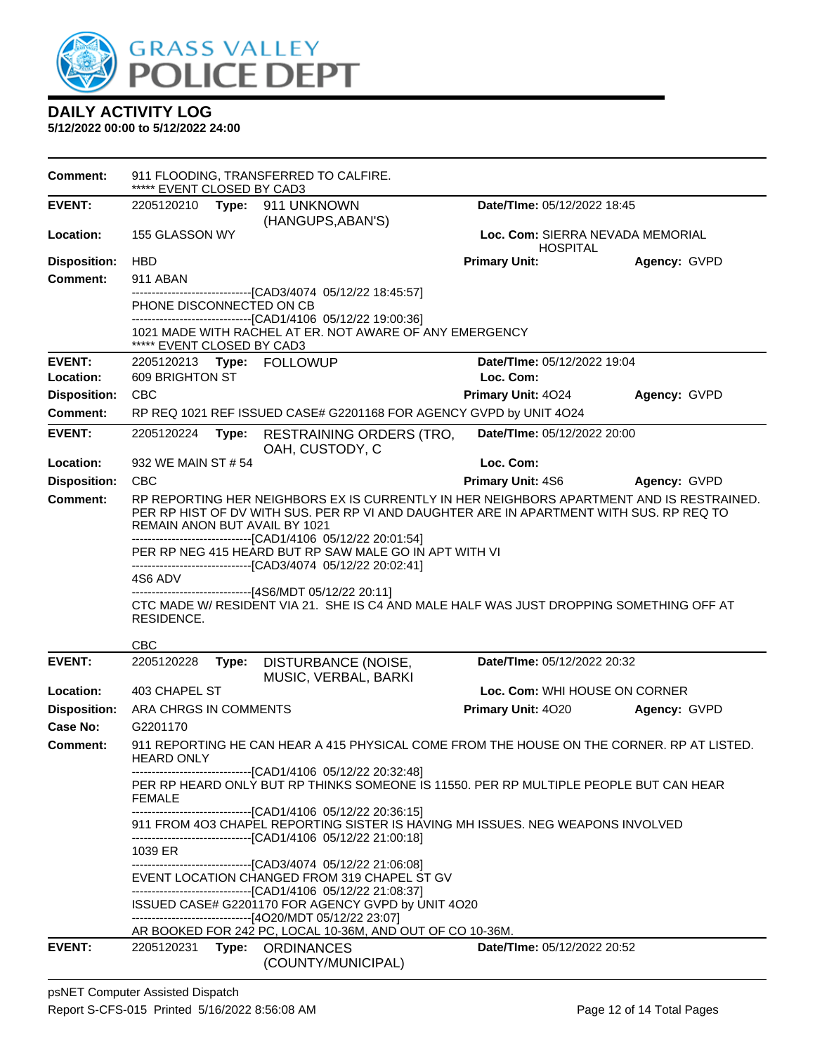

**5/12/2022 00:00 to 5/12/2022 24:00**

**Comment:** 911 FLOODING, TRANSFERRED TO CALFIRE. \*\*\*\*\* EVENT CLOSED BY CAD3 **EVENT:** 2205120210 **Type:** 911 UNKNOWN (HANGUPS,ABAN'S) **Date/TIme:** 05/12/2022 18:45 **Location:** 155 GLASSON WY **Loc. Com:** SIERRA NEVADA MEMORIAL HOSPITAL<br>Primary Unit: **Disposition:** HBD **Primary Unit: Agency:** GVPD **Comment:** 911 ABAN ------------------------------[CAD3/4074 05/12/22 18:45:57] PHONE DISCONNECTED ON CB ------------------------------[CAD1/4106 05/12/22 19:00:36] 1021 MADE WITH RACHEL AT ER. NOT AWARE OF ANY EMERGENCY \*\*\*\*\* EVENT CLOSED BY CAD3 **EVENT:** 2205120213 **Type:** FOLLOWUP **Date/TIme:** 05/12/2022 19:04 **Location:** 609 BRIGHTON ST **Loc. Com: Disposition:** CBC **Primary Unit:** 4O24 **Agency:** GVPD **Comment:** RP REQ 1021 REF ISSUED CASE# G2201168 FOR AGENCY GVPD by UNIT 4O24 **EVENT:** 2205120224 **Type:** RESTRAINING ORDERS (TRO, OAH, CUSTODY, C **Date/TIme:** 05/12/2022 20:00 **Location:** 932 WE MAIN ST # 54 **Loc. Com: Disposition:** CBC **Primary Unit:** 4S6 **Agency:** GVPD **Comment:** RP REPORTING HER NEIGHBORS EX IS CURRENTLY IN HER NEIGHBORS APARTMENT AND IS RESTRAINED. PER RP HIST OF DV WITH SUS. PER RP VI AND DAUGHTER ARE IN APARTMENT WITH SUS. RP REQ TO REMAIN ANON BUT AVAIL BY 1021 ------------------------------[CAD1/4106 05/12/22 20:01:54] PER RP NEG 415 HEARD BUT RP SAW MALE GO IN APT WITH VI ------------------------------[CAD3/4074 05/12/22 20:02:41] 4S6 ADV ------------------------------[4S6/MDT 05/12/22 20:11] CTC MADE W/ RESIDENT VIA 21. SHE IS C4 AND MALE HALF WAS JUST DROPPING SOMETHING OFF AT RESIDENCE. CBC **EVENT:** 2205120228 **Type:** DISTURBANCE (NOISE, MUSIC, VERBAL, BARKI **Date/TIme:** 05/12/2022 20:32 **Location:** 403 CHAPEL ST **Loc. Com:** WHI HOUSE ON CORNER **Disposition:** ARA CHRGS IN COMMENTS **Primary Unit:** 4O20 **Agency:** GVPD **Case No:** G2201170 **Comment:** 911 REPORTING HE CAN HEAR A 415 PHYSICAL COME FROM THE HOUSE ON THE CORNER. RP AT LISTED. HEARD ONLY ------------------------------[CAD1/4106 05/12/22 20:32:48] PER RP HEARD ONLY BUT RP THINKS SOMEONE IS 11550. PER RP MULTIPLE PEOPLE BUT CAN HEAR FEMALE -----[CAD1/4106 05/12/22 20:36:15] 911 FROM 4O3 CHAPEL REPORTING SISTER IS HAVING MH ISSUES. NEG WEAPONS INVOLVED ------------------------------[CAD1/4106 05/12/22 21:00:18] 1039 ER ------------------------------[CAD3/4074 05/12/22 21:06:08] EVENT LOCATION CHANGED FROM 319 CHAPEL ST GV ------------------------------[CAD1/4106 05/12/22 21:08:37] ISSUED CASE# G2201170 FOR AGENCY GVPD by UNIT 4O20 ------------------------------[4O20/MDT 05/12/22 23:07] AR BOOKED FOR 242 PC, LOCAL 10-36M, AND OUT OF CO 10-36M. **EVENT:** 2205120231 **Type:** ORDINANCES (COUNTY/MUNICIPAL) **Date/TIme:** 05/12/2022 20:52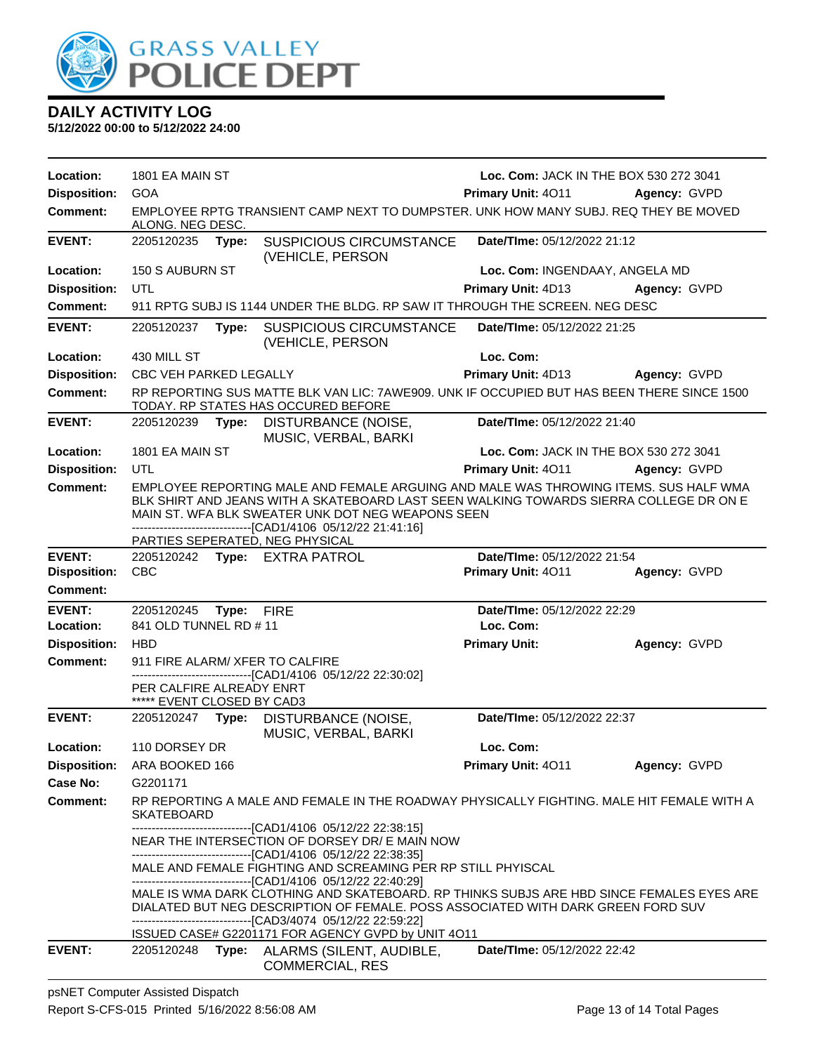

**5/12/2022 00:00 to 5/12/2022 24:00**

| Location:           | 1801 EA MAIN ST                                        |       |                                                                                                                                                                                                                                                                                                                                        | Loc. Com: JACK IN THE BOX 530 272 3041        |                     |
|---------------------|--------------------------------------------------------|-------|----------------------------------------------------------------------------------------------------------------------------------------------------------------------------------------------------------------------------------------------------------------------------------------------------------------------------------------|-----------------------------------------------|---------------------|
| <b>Disposition:</b> | <b>GOA</b>                                             |       |                                                                                                                                                                                                                                                                                                                                        | Primary Unit: 4011                            | <b>Agency: GVPD</b> |
| <b>Comment:</b>     | ALONG. NEG DESC.                                       |       | EMPLOYEE RPTG TRANSIENT CAMP NEXT TO DUMPSTER. UNK HOW MANY SUBJ, REQ THEY BE MOVED                                                                                                                                                                                                                                                    |                                               |                     |
| <b>EVENT:</b>       | 2205120235                                             | Type: | <b>SUSPICIOUS CIRCUMSTANCE</b><br>(VEHICLE, PERSON                                                                                                                                                                                                                                                                                     | Date/TIme: 05/12/2022 21:12                   |                     |
| Location:           | 150 S AUBURN ST                                        |       |                                                                                                                                                                                                                                                                                                                                        | Loc. Com: INGENDAAY, ANGELA MD                |                     |
| <b>Disposition:</b> | UTL                                                    |       |                                                                                                                                                                                                                                                                                                                                        | Primary Unit: 4D13                            | Agency: GVPD        |
| Comment:            |                                                        |       | 911 RPTG SUBJ IS 1144 UNDER THE BLDG. RP SAW IT THROUGH THE SCREEN. NEG DESC                                                                                                                                                                                                                                                           |                                               |                     |
| <b>EVENT:</b>       | 2205120237                                             | Type: | <b>SUSPICIOUS CIRCUMSTANCE</b><br>(VEHICLE, PERSON                                                                                                                                                                                                                                                                                     | Date/TIme: 05/12/2022 21:25                   |                     |
| Location:           | 430 MILL ST                                            |       |                                                                                                                                                                                                                                                                                                                                        | Loc. Com:                                     |                     |
| <b>Disposition:</b> | CBC VEH PARKED LEGALLY                                 |       |                                                                                                                                                                                                                                                                                                                                        | <b>Primary Unit: 4D13</b>                     | Agency: GVPD        |
| <b>Comment:</b>     |                                                        |       | RP REPORTING SUS MATTE BLK VAN LIC: 7AWE909. UNK IF OCCUPIED BUT HAS BEEN THERE SINCE 1500<br>TODAY. RP STATES HAS OCCURED BEFORE                                                                                                                                                                                                      |                                               |                     |
| <b>EVENT:</b>       | 2205120239                                             | Type: | DISTURBANCE (NOISE,<br>MUSIC, VERBAL, BARKI                                                                                                                                                                                                                                                                                            | Date/TIme: 05/12/2022 21:40                   |                     |
| Location:           | 1801 EA MAIN ST                                        |       |                                                                                                                                                                                                                                                                                                                                        | <b>Loc. Com: JACK IN THE BOX 530 272 3041</b> |                     |
| <b>Disposition:</b> | UTL                                                    |       |                                                                                                                                                                                                                                                                                                                                        | Primary Unit: 4011                            | Agency: GVPD        |
| <b>Comment:</b>     |                                                        |       | EMPLOYEE REPORTING MALE AND FEMALE ARGUING AND MALE WAS THROWING ITEMS. SUS HALF WMA<br>BLK SHIRT AND JEANS WITH A SKATEBOARD LAST SEEN WALKING TOWARDS SIERRA COLLEGE DR ON E<br>MAIN ST. WFA BLK SWEATER UNK DOT NEG WEAPONS SEEN<br>-------------------------------[CAD1/4106 05/12/22 21:41:16]<br>PARTIES SEPERATED, NEG PHYSICAL |                                               |                     |
| <b>EVENT:</b>       |                                                        |       | 2205120242 Type: EXTRA PATROL                                                                                                                                                                                                                                                                                                          | Date/TIme: 05/12/2022 21:54                   |                     |
| <b>Disposition:</b> | <b>CBC</b>                                             |       |                                                                                                                                                                                                                                                                                                                                        | Primary Unit: 4011                            | Agency: GVPD        |
| <b>Comment:</b>     |                                                        |       |                                                                                                                                                                                                                                                                                                                                        |                                               |                     |
| <b>EVENT:</b>       | 2205120245                                             | Type: | <b>FIRE</b>                                                                                                                                                                                                                                                                                                                            | Date/TIme: 05/12/2022 22:29                   |                     |
| Location:           | 841 OLD TUNNEL RD #11                                  |       |                                                                                                                                                                                                                                                                                                                                        | Loc. Com:                                     |                     |
| <b>Disposition:</b> | <b>HBD</b>                                             |       |                                                                                                                                                                                                                                                                                                                                        | <b>Primary Unit:</b>                          | Agency: GVPD        |
| <b>Comment:</b>     |                                                        |       | 911 FIRE ALARM/ XFER TO CALFIRE                                                                                                                                                                                                                                                                                                        |                                               |                     |
|                     | PER CALFIRE ALREADY ENRT<br>***** EVENT CLOSED BY CAD3 |       | -------------------------------[CAD1/4106 05/12/22 22:30:02]                                                                                                                                                                                                                                                                           |                                               |                     |
| <b>EVENT:</b>       | 2205120247                                             | Type: | DISTURBANCE (NOISE,<br>MUSIC, VERBAL, BARKI                                                                                                                                                                                                                                                                                            | Date/TIme: 05/12/2022 22:37                   |                     |
| Location:           | 110 DORSEY DR                                          |       |                                                                                                                                                                                                                                                                                                                                        | Loc. Com:                                     |                     |
| <b>Disposition:</b> | ARA BOOKED 166                                         |       |                                                                                                                                                                                                                                                                                                                                        | <b>Primary Unit: 4011</b>                     | Agency: GVPD        |
| Case No:            | G2201171                                               |       |                                                                                                                                                                                                                                                                                                                                        |                                               |                     |
| Comment:            | <b>SKATEBOARD</b>                                      |       | RP REPORTING A MALE AND FEMALE IN THE ROADWAY PHYSICALLY FIGHTING. MALE HIT FEMALE WITH A                                                                                                                                                                                                                                              |                                               |                     |
|                     |                                                        |       | -------------------------------[CAD1/4106 05/12/22 22:38:15]<br>NEAR THE INTERSECTION OF DORSEY DR/ E MAIN NOW<br>-------------------------------[CAD1/4106 05/12/22 22:38:35]                                                                                                                                                         |                                               |                     |
|                     |                                                        |       | MALE AND FEMALE FIGHTING AND SCREAMING PER RP STILL PHYISCAL<br>-------------------------------[CAD1/4106 05/12/22 22:40:29]                                                                                                                                                                                                           |                                               |                     |
|                     |                                                        |       | MALE IS WMA DARK CLOTHING AND SKATEBOARD. RP THINKS SUBJS ARE HBD SINCE FEMALES EYES ARE<br>DIALATED BUT NEG DESCRIPTION OF FEMALE. POSS ASSOCIATED WITH DARK GREEN FORD SUV<br>-------------------------------[CAD3/4074 05/12/22 22:59:22]                                                                                           |                                               |                     |
|                     |                                                        |       |                                                                                                                                                                                                                                                                                                                                        |                                               |                     |
| <b>EVENT:</b>       | 2205120248                                             |       | ISSUED CASE# G2201171 FOR AGENCY GVPD by UNIT 4O11<br>Type: ALARMS (SILENT, AUDIBLE,                                                                                                                                                                                                                                                   | Date/TIme: 05/12/2022 22:42                   |                     |

psNET Computer Assisted Dispatch Report S-CFS-015 Printed 5/16/2022 8:56:08 AM Page 13 of 14 Total Pages